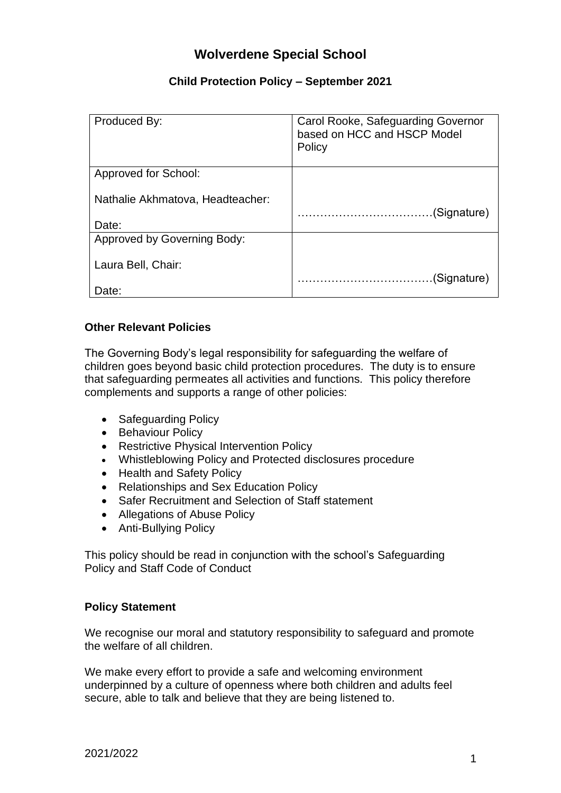# **Wolverdene Special School**

### **Child Protection Policy – September 2021**

| Produced By:                              | Carol Rooke, Safeguarding Governor<br>based on HCC and HSCP Model<br>Policy |
|-------------------------------------------|-----------------------------------------------------------------------------|
| Approved for School:                      |                                                                             |
| Nathalie Akhmatova, Headteacher:<br>Date: | .(Signature)                                                                |
| Approved by Governing Body:               |                                                                             |
| Laura Bell, Chair:                        | .(Signature)                                                                |
| Date:                                     |                                                                             |

### **Other Relevant Policies**

The Governing Body's legal responsibility for safeguarding the welfare of children goes beyond basic child protection procedures. The duty is to ensure that safeguarding permeates all activities and functions. This policy therefore complements and supports a range of other policies:

- Safeguarding Policy
- Behaviour Policy
- Restrictive Physical Intervention Policy
- Whistleblowing Policy and Protected disclosures procedure
- Health and Safety Policy
- Relationships and Sex Education Policy
- Safer Recruitment and Selection of Staff statement
- Allegations of Abuse Policy
- Anti-Bullying Policy

This policy should be read in conjunction with the school's Safeguarding Policy and Staff Code of Conduct

### **Policy Statement**

We recognise our moral and statutory responsibility to safeguard and promote the welfare of all children.

We make every effort to provide a safe and welcoming environment underpinned by a culture of openness where both children and adults feel secure, able to talk and believe that they are being listened to.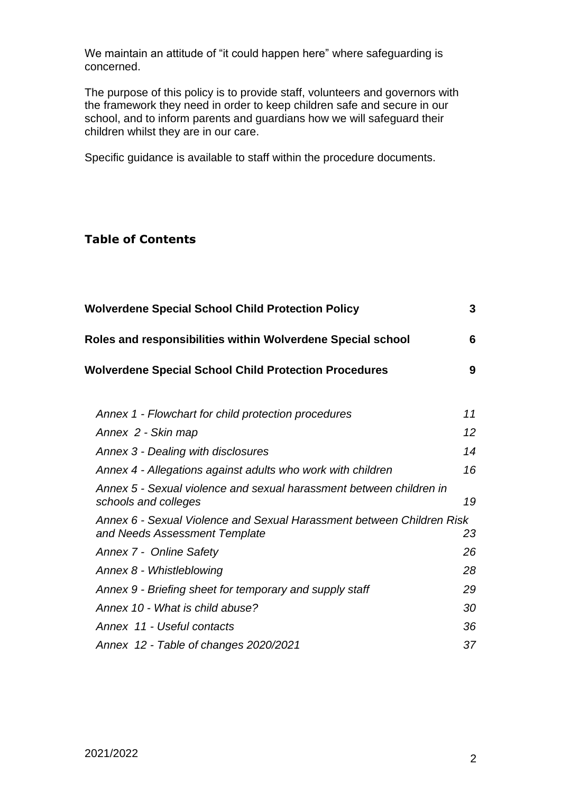We maintain an attitude of "it could happen here" where safeguarding is concerned.

The purpose of this policy is to provide staff, volunteers and governors with the framework they need in order to keep children safe and secure in our school, and to inform parents and guardians how we will safeguard their children whilst they are in our care.

Specific guidance is available to staff within the procedure documents.

### **Table of Contents**

| <b>Wolverdene Special School Child Protection Policy</b>                                    | $\mathbf{3}$    |
|---------------------------------------------------------------------------------------------|-----------------|
| Roles and responsibilities within Wolverdene Special school                                 |                 |
| <b>Wolverdene Special School Child Protection Procedures</b>                                | 9               |
| Annex 1 - Flowchart for child protection procedures                                         | 11              |
| Annex 2 - Skin map                                                                          | 12 <sup>°</sup> |
| Annex 3 - Dealing with disclosures                                                          | 14              |
| Annex 4 - Allegations against adults who work with children                                 | 16              |
| Annex 5 - Sexual violence and sexual harassment between children in<br>schools and colleges | 19              |
| Annex 6 - Sexual Violence and Sexual Harassment between Children Risk                       |                 |
| and Needs Assessment Template                                                               | 23              |
| Annex 7 - Online Safety                                                                     | 26              |
| Annex 8 - Whistleblowing                                                                    | 28              |
| Annex 9 - Briefing sheet for temporary and supply staff                                     | 29              |
| Annex 10 - What is child abuse?                                                             | 30              |
| Annex 11 - Useful contacts                                                                  | 36              |
| Annex 12 - Table of changes 2020/2021                                                       | 37              |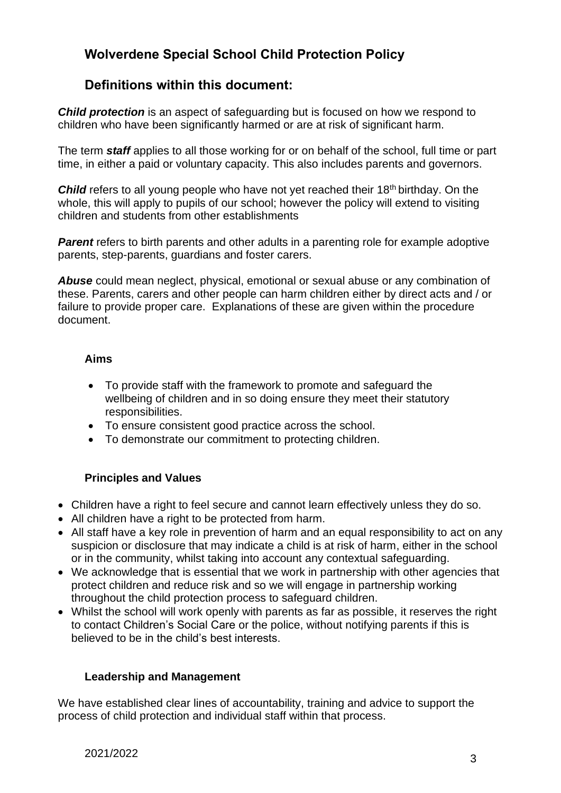# <span id="page-2-0"></span>**Wolverdene Special School Child Protection Policy**

## **Definitions within this document:**

*Child protection* is an aspect of safeguarding but is focused on how we respond to children who have been significantly harmed or are at risk of significant harm.

The term *staff* applies to all those working for or on behalf of the school, full time or part time, in either a paid or voluntary capacity. This also includes parents and governors.

*Child* refers to all young people who have not yet reached their 18<sup>th</sup> birthday. On the whole, this will apply to pupils of our school; however the policy will extend to visiting children and students from other establishments

**Parent** refers to birth parents and other adults in a parenting role for example adoptive parents, step-parents, guardians and foster carers.

*Abuse* could mean neglect, physical, emotional or sexual abuse or any combination of these. Parents, carers and other people can harm children either by direct acts and / or failure to provide proper care. Explanations of these are given within the procedure document.

### **Aims**

- To provide staff with the framework to promote and safeguard the wellbeing of children and in so doing ensure they meet their statutory responsibilities.
- To ensure consistent good practice across the school.
- To demonstrate our commitment to protecting children.

### **Principles and Values**

- Children have a right to feel secure and cannot learn effectively unless they do so.
- All children have a right to be protected from harm.
- All staff have a key role in prevention of harm and an equal responsibility to act on any suspicion or disclosure that may indicate a child is at risk of harm, either in the school or in the community, whilst taking into account any contextual safeguarding.
- We acknowledge that is essential that we work in partnership with other agencies that protect children and reduce risk and so we will engage in partnership working throughout the child protection process to safeguard children.
- Whilst the school will work openly with parents as far as possible, it reserves the right to contact Children's Social Care or the police, without notifying parents if this is believed to be in the child's best interests.

### **Leadership and Management**

We have established clear lines of accountability, training and advice to support the process of child protection and individual staff within that process.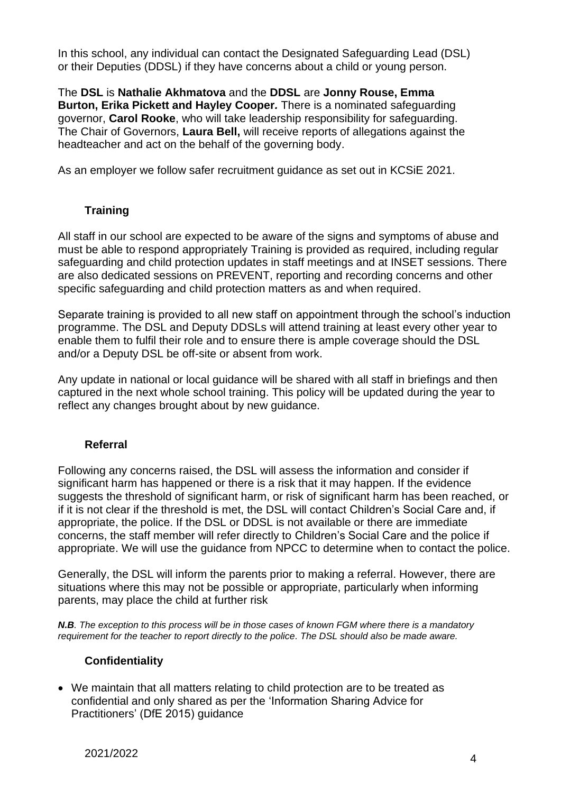In this school, any individual can contact the Designated Safeguarding Lead (DSL) or their Deputies (DDSL) if they have concerns about a child or young person.

The **DSL** is **Nathalie Akhmatova** and the **DDSL** are **Jonny Rouse, Emma Burton, Erika Pickett and Hayley Cooper***.* There is a nominated safeguarding governor, **Carol Rooke**, who will take leadership responsibility for safeguarding. The Chair of Governors, **Laura Bell,** will receive reports of allegations against the headteacher and act on the behalf of the governing body.

As an employer we follow safer recruitment guidance as set out in KCSiE 2021.

## **Training**

All staff in our school are expected to be aware of the signs and symptoms of abuse and must be able to respond appropriately Training is provided as required, including regular safeguarding and child protection updates in staff meetings and at INSET sessions. There are also dedicated sessions on PREVENT, reporting and recording concerns and other specific safeguarding and child protection matters as and when required.

Separate training is provided to all new staff on appointment through the school's induction programme. The DSL and Deputy DDSLs will attend training at least every other year to enable them to fulfil their role and to ensure there is ample coverage should the DSL and/or a Deputy DSL be off-site or absent from work.

Any update in national or local guidance will be shared with all staff in briefings and then captured in the next whole school training. This policy will be updated during the year to reflect any changes brought about by new guidance.

### **Referral**

Following any concerns raised, the DSL will assess the information and consider if significant harm has happened or there is a risk that it may happen. If the evidence suggests the threshold of significant harm, or risk of significant harm has been reached, or if it is not clear if the threshold is met, the DSL will contact Children's Social Care and, if appropriate, the police. If the DSL or DDSL is not available or there are immediate concerns, the staff member will refer directly to Children's Social Care and the police if appropriate. We will use the guidance from NPCC to determine when to contact the police.

Generally, the DSL will inform the parents prior to making a referral. However, there are situations where this may not be possible or appropriate, particularly when informing parents, may place the child at further risk

*N.B. The exception to this process will be in those cases of known FGM where there is a mandatory requirement for the teacher to report directly to the police. The DSL should also be made aware.* 

### **Confidentiality**

• We maintain that all matters relating to child protection are to be treated as confidential and only shared as per the 'Information Sharing Advice for Practitioners' (DfE 2015) guidance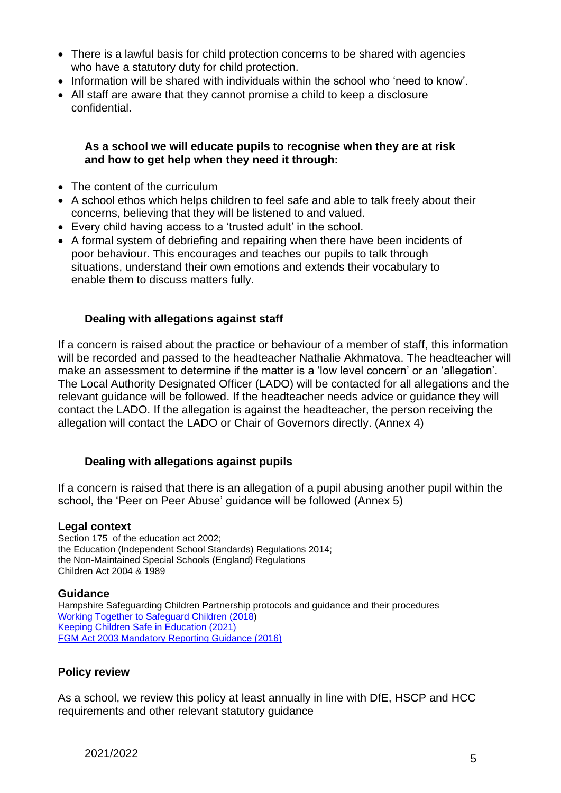- There is a lawful basis for child protection concerns to be shared with agencies who have a statutory duty for child protection.
- Information will be shared with individuals within the school who 'need to know'.
- All staff are aware that they cannot promise a child to keep a disclosure confidential.

### **As a school we will educate pupils to recognise when they are at risk and how to get help when they need it through:**

- The content of the curriculum
- A school ethos which helps children to feel safe and able to talk freely about their concerns, believing that they will be listened to and valued.
- Every child having access to a 'trusted adult' in the school.
- A formal system of debriefing and repairing when there have been incidents of poor behaviour. This encourages and teaches our pupils to talk through situations, understand their own emotions and extends their vocabulary to enable them to discuss matters fully.

### **Dealing with allegations against staff**

If a concern is raised about the practice or behaviour of a member of staff, this information will be recorded and passed to the headteacher Nathalie Akhmatova. The headteacher will make an assessment to determine if the matter is a 'low level concern' or an 'allegation'. The Local Authority Designated Officer (LADO) will be contacted for all allegations and the relevant guidance will be followed. If the headteacher needs advice or guidance they will contact the LADO. If the allegation is against the headteacher, the person receiving the allegation will contact the LADO or Chair of Governors directly. (Annex 4)

### **Dealing with allegations against pupils**

If a concern is raised that there is an allegation of a pupil abusing another pupil within the school, the 'Peer on Peer Abuse' guidance will be followed (Annex 5)

### **Legal context**

Section 175 of the education act 2002; the Education (Independent School Standards) Regulations 2014; the Non-Maintained Special Schools (England) Regulations Children Act 2004 & 1989

#### **Guidance**

Hampshire Safeguarding Children Partnership protocols and guidance and their procedures [Working Together to Safeguard Children \(2018\)](https://www.gov.uk/government/publications/working-together-to-safeguard-children--2) [Keeping Children Safe in Education \(2021\)](https://www.gov.uk/government/publications/keeping-children-safe-in-education)  [FGM Act 2003 Mandatory Reporting Guidance \(2016\)](https://www.gov.uk/government/publications/mandatory-reporting-of-female-genital-mutilation-procedural-information)

### **Policy review**

<span id="page-4-0"></span>As a school, we review this policy at least annually in line with DfE, HSCP and HCC requirements and other relevant statutory guidance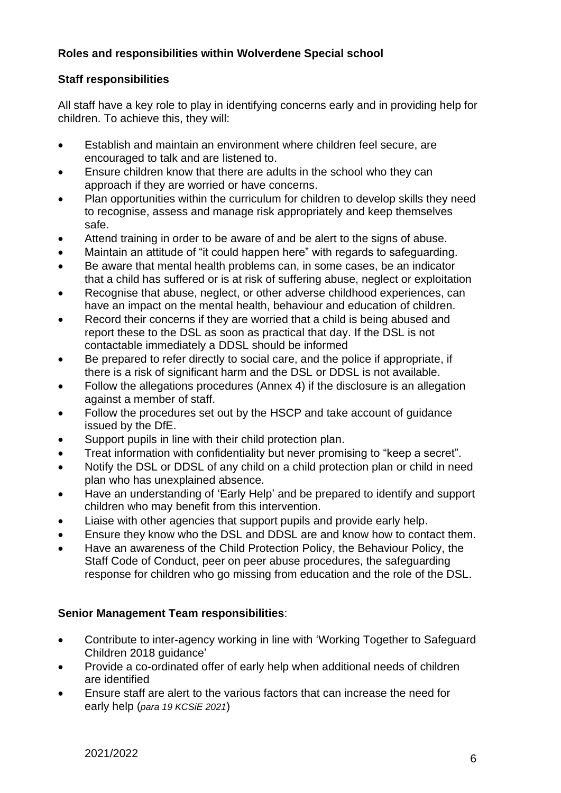### **Roles and responsibilities within Wolverdene Special school**

### **Staff responsibilities**

All staff have a key role to play in identifying concerns early and in providing help for children. To achieve this, they will:

- Establish and maintain an environment where children feel secure, are encouraged to talk and are listened to.
- Ensure children know that there are adults in the school who they can approach if they are worried or have concerns.
- Plan opportunities within the curriculum for children to develop skills they need to recognise, assess and manage risk appropriately and keep themselves safe.
- Attend training in order to be aware of and be alert to the signs of abuse.
- Maintain an attitude of "it could happen here" with regards to safeguarding.
- Be aware that mental health problems can, in some cases, be an indicator that a child has suffered or is at risk of suffering abuse, neglect or exploitation
- Recognise that abuse, neglect, or other adverse childhood experiences, can have an impact on the mental health, behaviour and education of children.
- Record their concerns if they are worried that a child is being abused and report these to the DSL as soon as practical that day. If the DSL is not contactable immediately a DDSL should be informed
- Be prepared to refer directly to social care, and the police if appropriate, if there is a risk of significant harm and the DSL or DDSL is not available.
- Follow the allegations procedures (Annex 4) if the disclosure is an allegation against a member of staff.
- Follow the procedures set out by the HSCP and take account of guidance issued by the DfE.
- Support pupils in line with their child protection plan.
- Treat information with confidentiality but never promising to "keep a secret".
- Notify the DSL or DDSL of any child on a child protection plan or child in need plan who has unexplained absence.
- Have an understanding of 'Early Help' and be prepared to identify and support children who may benefit from this intervention.
- Liaise with other agencies that support pupils and provide early help.
- Ensure they know who the DSL and DDSL are and know how to contact them.
- Have an awareness of the Child Protection Policy, the Behaviour Policy, the Staff Code of Conduct, peer on peer abuse procedures, the safeguarding response for children who go missing from education and the role of the DSL.

### **Senior Management Team responsibilities**:

- Contribute to inter-agency working in line with 'Working Together to Safeguard Children 2018 guidance'
- Provide a co-ordinated offer of early help when additional needs of children are identified
- Ensure staff are alert to the various factors that can increase the need for early help (*para 19 KCSiE 2021*)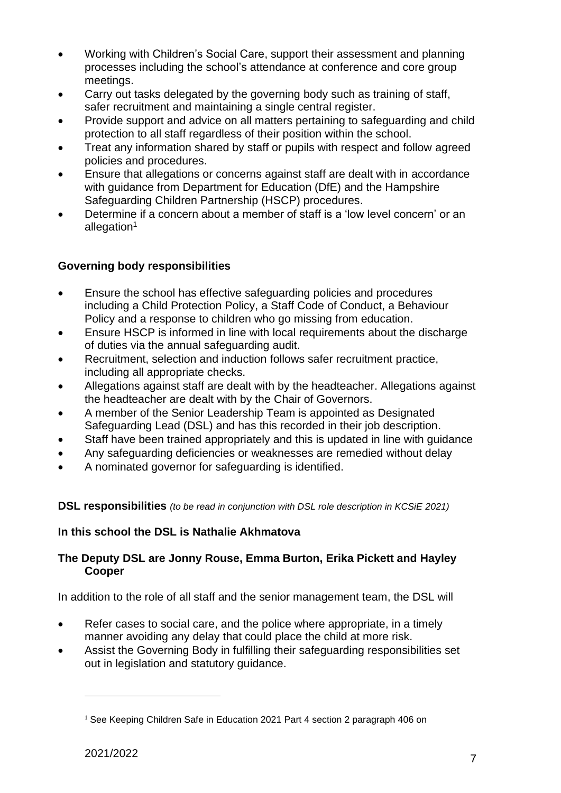- Working with Children's Social Care, support their assessment and planning processes including the school's attendance at conference and core group meetings.
- Carry out tasks delegated by the governing body such as training of staff, safer recruitment and maintaining a single central register.
- Provide support and advice on all matters pertaining to safeguarding and child protection to all staff regardless of their position within the school.
- Treat any information shared by staff or pupils with respect and follow agreed policies and procedures.
- Ensure that allegations or concerns against staff are dealt with in accordance with guidance from Department for Education (DfE) and the Hampshire Safeguarding Children Partnership (HSCP) procedures.
- Determine if a concern about a member of staff is a 'low level concern' or an allegation<sup>1</sup>

### **Governing body responsibilities**

- Ensure the school has effective safeguarding policies and procedures including a Child Protection Policy, a Staff Code of Conduct, a Behaviour Policy and a response to children who go missing from education.
- Ensure HSCP is informed in line with local requirements about the discharge of duties via the annual safeguarding audit.
- Recruitment, selection and induction follows safer recruitment practice, including all appropriate checks.
- Allegations against staff are dealt with by the headteacher. Allegations against the headteacher are dealt with by the Chair of Governors.
- A member of the Senior Leadership Team is appointed as Designated Safeguarding Lead (DSL) and has this recorded in their job description.
- Staff have been trained appropriately and this is updated in line with guidance
- Any safeguarding deficiencies or weaknesses are remedied without delay
- A nominated governor for safeguarding is identified.

**DSL responsibilities** *(to be read in conjunction with DSL role description in KCSiE 2021)*

### **In this school the DSL is Nathalie Akhmatova**

### **The Deputy DSL are Jonny Rouse, Emma Burton, Erika Pickett and Hayley Cooper**

In addition to the role of all staff and the senior management team, the DSL will

- Refer cases to social care, and the police where appropriate, in a timely manner avoiding any delay that could place the child at more risk.
- Assist the Governing Body in fulfilling their safeguarding responsibilities set out in legislation and statutory guidance.

<sup>&</sup>lt;sup>1</sup> See Keeping Children Safe in Education 2021 Part 4 section 2 paragraph 406 on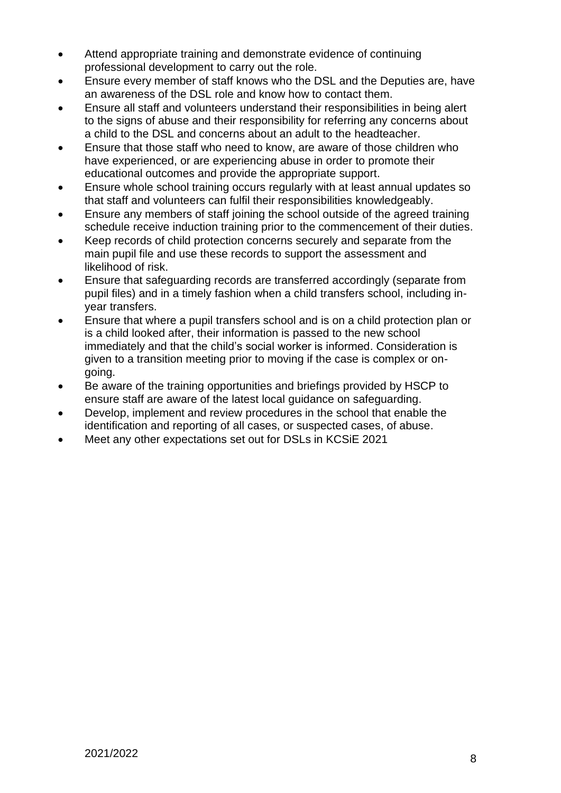- Attend appropriate training and demonstrate evidence of continuing professional development to carry out the role.
- Ensure every member of staff knows who the DSL and the Deputies are, have an awareness of the DSL role and know how to contact them.
- Ensure all staff and volunteers understand their responsibilities in being alert to the signs of abuse and their responsibility for referring any concerns about a child to the DSL and concerns about an adult to the headteacher.
- Ensure that those staff who need to know, are aware of those children who have experienced, or are experiencing abuse in order to promote their educational outcomes and provide the appropriate support.
- Ensure whole school training occurs regularly with at least annual updates so that staff and volunteers can fulfil their responsibilities knowledgeably.
- Ensure any members of staff joining the school outside of the agreed training schedule receive induction training prior to the commencement of their duties.
- Keep records of child protection concerns securely and separate from the main pupil file and use these records to support the assessment and likelihood of risk.
- Ensure that safeguarding records are transferred accordingly (separate from pupil files) and in a timely fashion when a child transfers school, including inyear transfers.
- Ensure that where a pupil transfers school and is on a child protection plan or is a child looked after, their information is passed to the new school immediately and that the child's social worker is informed. Consideration is given to a transition meeting prior to moving if the case is complex or ongoing.
- Be aware of the training opportunities and briefings provided by HSCP to ensure staff are aware of the latest local guidance on safeguarding.
- Develop, implement and review procedures in the school that enable the identification and reporting of all cases, or suspected cases, of abuse.
- Meet any other expectations set out for DSLs in KCSiE 2021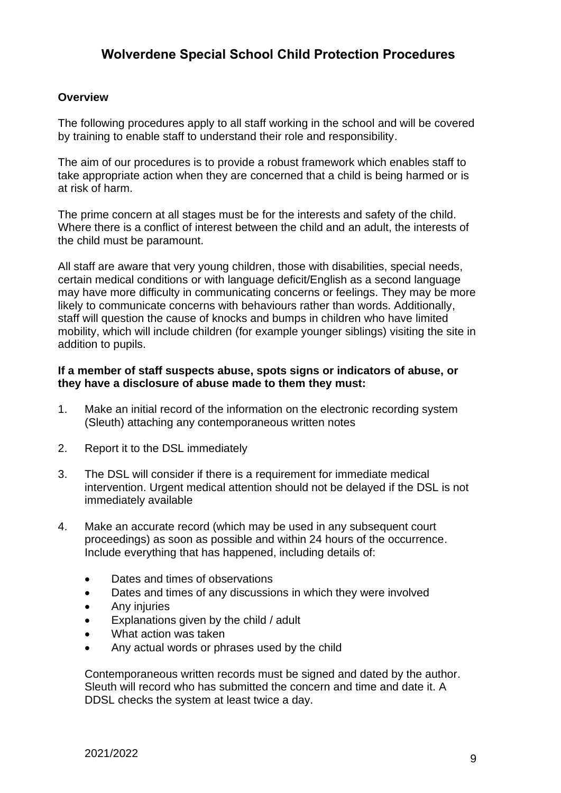## <span id="page-8-0"></span>**Wolverdene Special School Child Protection Procedures**

### **Overview**

The following procedures apply to all staff working in the school and will be covered by training to enable staff to understand their role and responsibility.

The aim of our procedures is to provide a robust framework which enables staff to take appropriate action when they are concerned that a child is being harmed or is at risk of harm.

The prime concern at all stages must be for the interests and safety of the child. Where there is a conflict of interest between the child and an adult, the interests of the child must be paramount.

All staff are aware that very young children, those with disabilities, special needs, certain medical conditions or with language deficit/English as a second language may have more difficulty in communicating concerns or feelings. They may be more likely to communicate concerns with behaviours rather than words. Additionally, staff will question the cause of knocks and bumps in children who have limited mobility, which will include children (for example younger siblings) visiting the site in addition to pupils.

### **If a member of staff suspects abuse, spots signs or indicators of abuse, or they have a disclosure of abuse made to them they must:**

- 1. Make an initial record of the information on the electronic recording system (Sleuth) attaching any contemporaneous written notes
- 2. Report it to the DSL immediately
- 3. The DSL will consider if there is a requirement for immediate medical intervention. Urgent medical attention should not be delayed if the DSL is not immediately available
- 4. Make an accurate record (which may be used in any subsequent court proceedings) as soon as possible and within 24 hours of the occurrence. Include everything that has happened, including details of:
	- Dates and times of observations
	- Dates and times of any discussions in which they were involved
	- Any injuries
	- Explanations given by the child / adult
	- What action was taken
	- Any actual words or phrases used by the child

Contemporaneous written records must be signed and dated by the author. Sleuth will record who has submitted the concern and time and date it. A DDSL checks the system at least twice a day.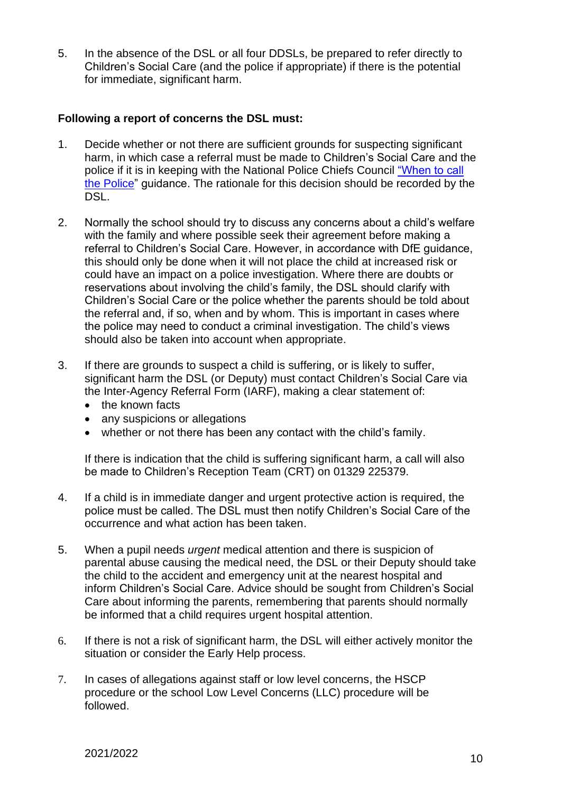5. In the absence of the DSL or all four DDSLs, be prepared to refer directly to Children's Social Care (and the police if appropriate) if there is the potential for immediate, significant harm.

### **Following a report of concerns the DSL must:**

- 1. Decide whether or not there are sufficient grounds for suspecting significant harm, in which case a referral must be made to Children's Social Care and the police if it is in keeping with the National Police Chiefs Council ["When to call](https://www.google.com/url?sa=t&rct=j&q=&esrc=s&source=web&cd=&cad=rja&uact=8&ved=2ahUKEwjWztnW2MfrAhWRRhUIHfKnB1sQFjABegQIDBAD&url=https%3A%2F%2Fwww.npcc.police.uk%2Fdocuments%2FChildren%2520and%2520Young%2520people%2FWhen%2520to%2520call%2520the%2520police%2520guidance%2520for%2520schools%2520and%2520colleges.pdf&usg=AOvVaw2hklWTbin6l8AlYoJFHR1V)  [the Police"](https://www.google.com/url?sa=t&rct=j&q=&esrc=s&source=web&cd=&cad=rja&uact=8&ved=2ahUKEwjWztnW2MfrAhWRRhUIHfKnB1sQFjABegQIDBAD&url=https%3A%2F%2Fwww.npcc.police.uk%2Fdocuments%2FChildren%2520and%2520Young%2520people%2FWhen%2520to%2520call%2520the%2520police%2520guidance%2520for%2520schools%2520and%2520colleges.pdf&usg=AOvVaw2hklWTbin6l8AlYoJFHR1V) guidance. The rationale for this decision should be recorded by the DSL.
- 2. Normally the school should try to discuss any concerns about a child's welfare with the family and where possible seek their agreement before making a referral to Children's Social Care. However, in accordance with DfE guidance, this should only be done when it will not place the child at increased risk or could have an impact on a police investigation. Where there are doubts or reservations about involving the child's family, the DSL should clarify with Children's Social Care or the police whether the parents should be told about the referral and, if so, when and by whom. This is important in cases where the police may need to conduct a criminal investigation. The child's views should also be taken into account when appropriate.
- 3. If there are grounds to suspect a child is suffering, or is likely to suffer, significant harm the DSL (or Deputy) must contact Children's Social Care via the Inter-Agency Referral Form (IARF), making a clear statement of:
	- the known facts
	- any suspicions or allegations
	- whether or not there has been any contact with the child's family.

If there is indication that the child is suffering significant harm, a call will also be made to Children's Reception Team (CRT) on 01329 225379.

- 4. If a child is in immediate danger and urgent protective action is required, the police must be called. The DSL must then notify Children's Social Care of the occurrence and what action has been taken.
- 5. When a pupil needs *urgent* medical attention and there is suspicion of parental abuse causing the medical need, the DSL or their Deputy should take the child to the accident and emergency unit at the nearest hospital and inform Children's Social Care. Advice should be sought from Children's Social Care about informing the parents, remembering that parents should normally be informed that a child requires urgent hospital attention.
- 6. If there is not a risk of significant harm, the DSL will either actively monitor the situation or consider the Early Help process.
- 7. In cases of allegations against staff or low level concerns, the HSCP procedure or the school Low Level Concerns (LLC) procedure will be followed.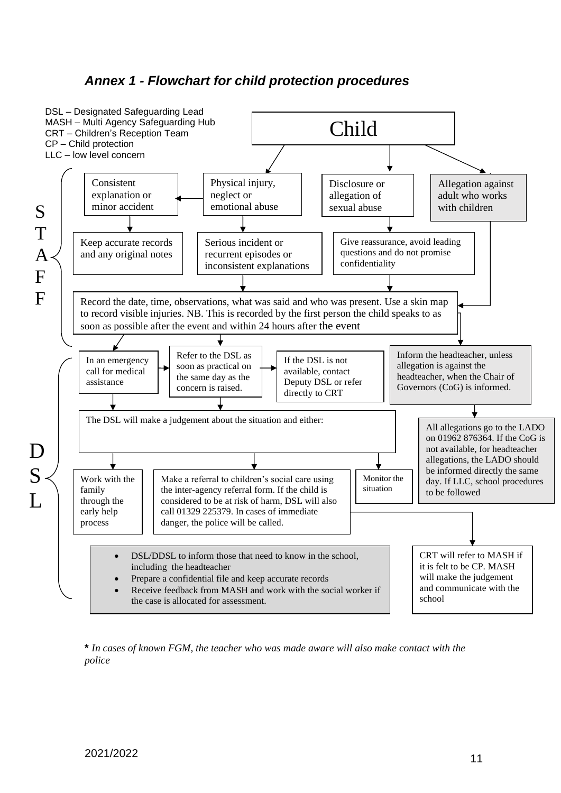## <span id="page-10-0"></span>*Annex 1 - Flowchart for child protection procedures*



**\*** *In cases of known FGM, the teacher who was made aware will also make contact with the police*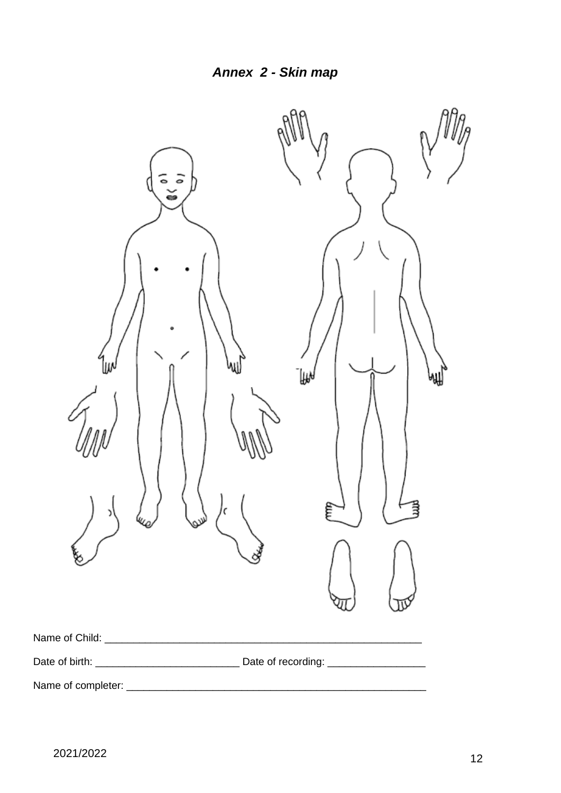*Annex 2 - Skin map*

<span id="page-11-0"></span>

| ີ້<br>ΨÌ<br>W۸<br>لای | n<br>In<br>ไพ<br>₩<br>Ę |
|-----------------------|-------------------------|
|                       |                         |
|                       |                         |
|                       |                         |
|                       |                         |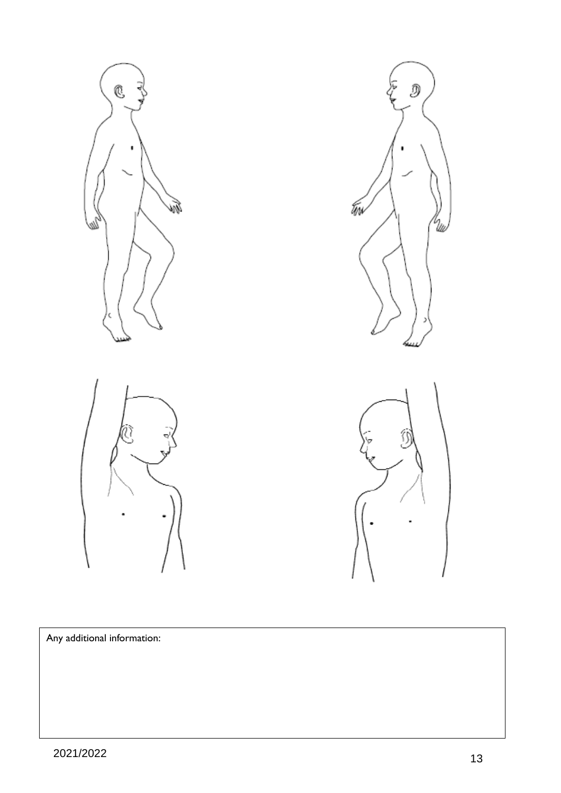







Any additional information: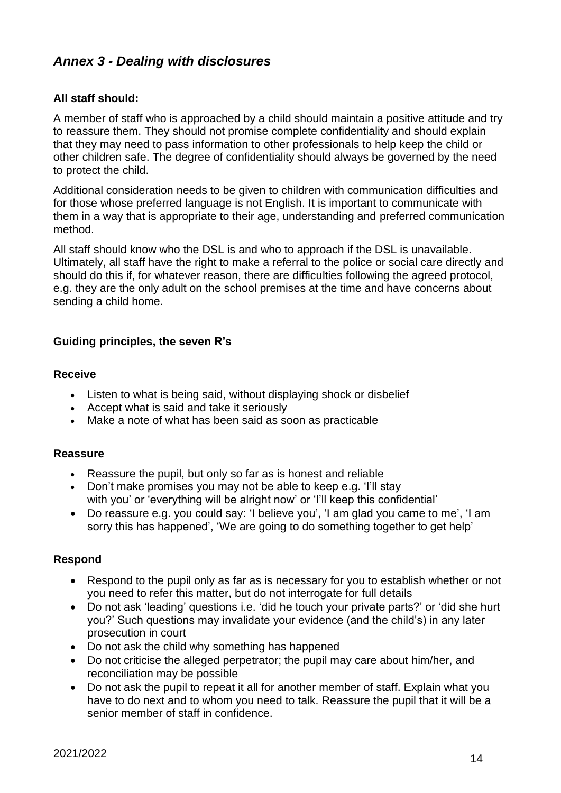# <span id="page-13-0"></span>*Annex 3 - Dealing with disclosures*

### **All staff should:**

A member of staff who is approached by a child should maintain a positive attitude and try to reassure them. They should not promise complete confidentiality and should explain that they may need to pass information to other professionals to help keep the child or other children safe. The degree of confidentiality should always be governed by the need to protect the child.

Additional consideration needs to be given to children with communication difficulties and for those whose preferred language is not English. It is important to communicate with them in a way that is appropriate to their age, understanding and preferred communication method.

All staff should know who the DSL is and who to approach if the DSL is unavailable. Ultimately, all staff have the right to make a referral to the police or social care directly and should do this if, for whatever reason, there are difficulties following the agreed protocol, e.g. they are the only adult on the school premises at the time and have concerns about sending a child home.

### **Guiding principles, the seven R's**

### **Receive**

- Listen to what is being said, without displaying shock or disbelief
- Accept what is said and take it seriously
- Make a note of what has been said as soon as practicable

#### **Reassure**

- Reassure the pupil, but only so far as is honest and reliable
- Don't make promises you may not be able to keep e.g. 'I'll stay with you' or 'everything will be alright now' or 'I'll keep this confidential'
- Do reassure e.g. you could say: 'I believe you', 'I am glad you came to me', 'I am sorry this has happened', 'We are going to do something together to get help'

### **Respond**

- Respond to the pupil only as far as is necessary for you to establish whether or not you need to refer this matter, but do not interrogate for full details
- Do not ask 'leading' questions i.e. 'did he touch your private parts?' or 'did she hurt you?' Such questions may invalidate your evidence (and the child's) in any later prosecution in court
- Do not ask the child why something has happened
- Do not criticise the alleged perpetrator; the pupil may care about him/her, and reconciliation may be possible
- Do not ask the pupil to repeat it all for another member of staff. Explain what you have to do next and to whom you need to talk. Reassure the pupil that it will be a senior member of staff in confidence.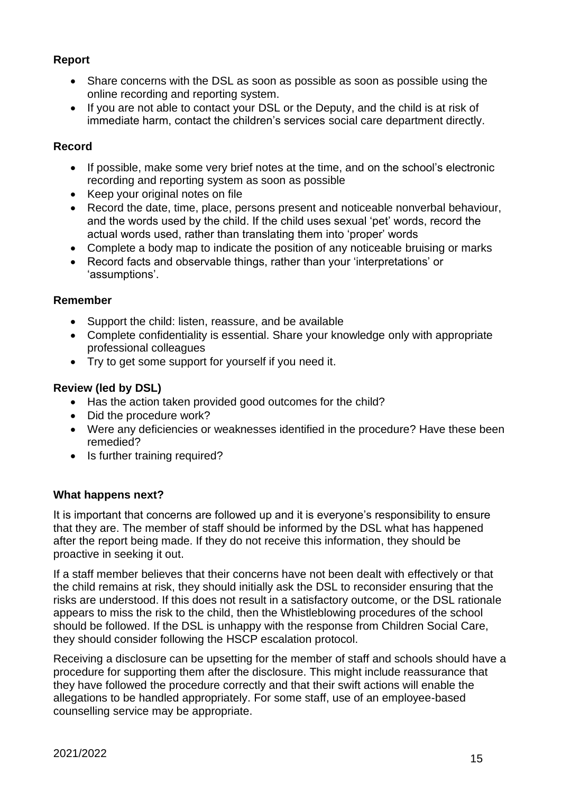### **Report**

- Share concerns with the DSL as soon as possible as soon as possible using the online recording and reporting system.
- If you are not able to contact your DSL or the Deputy, and the child is at risk of immediate harm, contact the children's services social care department directly.

### **Record**

- If possible, make some very brief notes at the time, and on the school's electronic recording and reporting system as soon as possible
- Keep your original notes on file
- Record the date, time, place, persons present and noticeable nonverbal behaviour, and the words used by the child. If the child uses sexual 'pet' words, record the actual words used, rather than translating them into 'proper' words
- Complete a body map to indicate the position of any noticeable bruising or marks
- Record facts and observable things, rather than your 'interpretations' or 'assumptions'.

### **Remember**

- Support the child: listen, reassure, and be available
- Complete confidentiality is essential. Share your knowledge only with appropriate professional colleagues
- Try to get some support for yourself if you need it.

### **Review (led by DSL)**

- Has the action taken provided good outcomes for the child?
- Did the procedure work?
- Were any deficiencies or weaknesses identified in the procedure? Have these been remedied?
- Is further training required?

### **What happens next?**

It is important that concerns are followed up and it is everyone's responsibility to ensure that they are. The member of staff should be informed by the DSL what has happened after the report being made. If they do not receive this information, they should be proactive in seeking it out.

If a staff member believes that their concerns have not been dealt with effectively or that the child remains at risk, they should initially ask the DSL to reconsider ensuring that the risks are understood. If this does not result in a satisfactory outcome, or the DSL rationale appears to miss the risk to the child, then the Whistleblowing procedures of the school should be followed. If the DSL is unhappy with the response from Children Social Care, they should consider following the HSCP escalation protocol.

Receiving a disclosure can be upsetting for the member of staff and schools should have a procedure for supporting them after the disclosure. This might include reassurance that they have followed the procedure correctly and that their swift actions will enable the allegations to be handled appropriately. For some staff, use of an employee-based counselling service may be appropriate.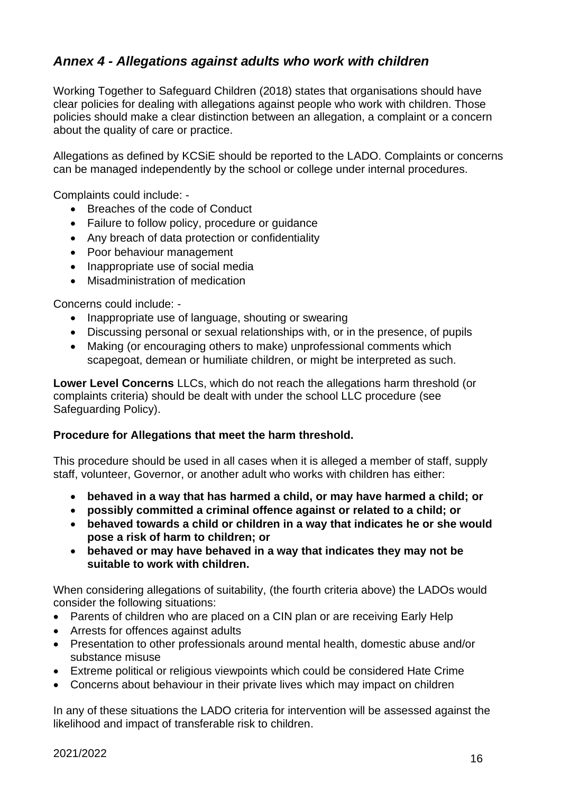# <span id="page-15-0"></span>*Annex 4 - Allegations against adults who work with children*

Working Together to Safeguard Children (2018) states that organisations should have clear policies for dealing with allegations against people who work with children. Those policies should make a clear distinction between an allegation, a complaint or a concern about the quality of care or practice.

Allegations as defined by KCSiE should be reported to the LADO. Complaints or concerns can be managed independently by the school or college under internal procedures.

Complaints could include: -

- Breaches of the code of Conduct
- Failure to follow policy, procedure or guidance
- Any breach of data protection or confidentiality
- Poor behaviour management
- Inappropriate use of social media
- Misadministration of medication

Concerns could include: -

- Inappropriate use of language, shouting or swearing
- Discussing personal or sexual relationships with, or in the presence, of pupils
- Making (or encouraging others to make) unprofessional comments which scapegoat, demean or humiliate children, or might be interpreted as such.

**Lower Level Concerns** LLCs, which do not reach the allegations harm threshold (or complaints criteria) should be dealt with under the school LLC procedure (see Safeguarding Policy).

### **Procedure for Allegations that meet the harm threshold.**

This procedure should be used in all cases when it is alleged a member of staff, supply staff, volunteer, Governor, or another adult who works with children has either:

- **behaved in a way that has harmed a child, or may have harmed a child; or**
- **possibly committed a criminal offence against or related to a child; or**
- **behaved towards a child or children in a way that indicates he or she would pose a risk of harm to children; or**
- **behaved or may have behaved in a way that indicates they may not be suitable to work with children.**

When considering allegations of suitability, (the fourth criteria above) the LADOs would consider the following situations:

- Parents of children who are placed on a CIN plan or are receiving Early Help
- Arrests for offences against adults
- Presentation to other professionals around mental health, domestic abuse and/or substance misuse
- Extreme political or religious viewpoints which could be considered Hate Crime
- Concerns about behaviour in their private lives which may impact on children

In any of these situations the LADO criteria for intervention will be assessed against the likelihood and impact of transferable risk to children.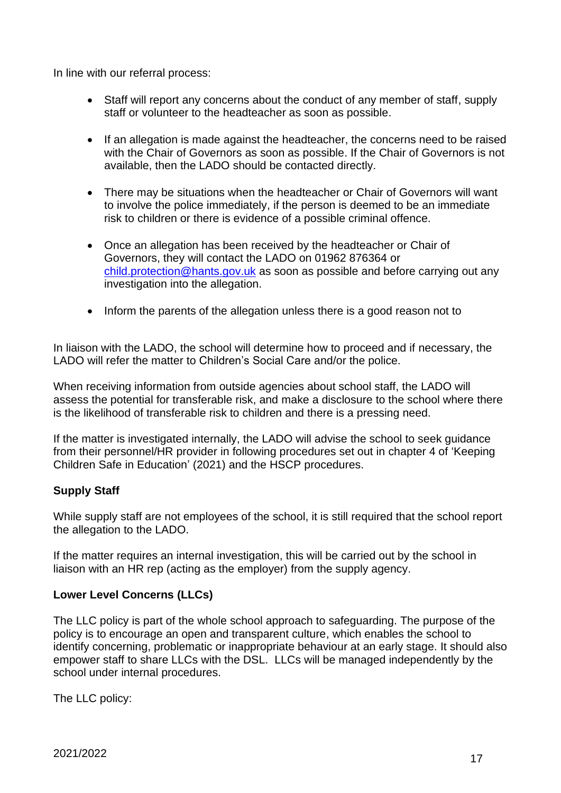In line with our referral process:

- Staff will report any concerns about the conduct of any member of staff, supply staff or volunteer to the headteacher as soon as possible.
- If an allegation is made against the headteacher, the concerns need to be raised with the Chair of Governors as soon as possible. If the Chair of Governors is not available, then the LADO should be contacted directly.
- There may be situations when the headteacher or Chair of Governors will want to involve the police immediately, if the person is deemed to be an immediate risk to children or there is evidence of a possible criminal offence.
- Once an allegation has been received by the headteacher or Chair of Governors, they will contact the LADO on 01962 876364 or [child.protection@hants.gov.uk](mailto:child.protection@hants.gov.uk) as soon as possible and before carrying out any investigation into the allegation.
- Inform the parents of the allegation unless there is a good reason not to

In liaison with the LADO, the school will determine how to proceed and if necessary, the LADO will refer the matter to Children's Social Care and/or the police.

When receiving information from outside agencies about school staff, the LADO will assess the potential for transferable risk, and make a disclosure to the school where there is the likelihood of transferable risk to children and there is a pressing need.

If the matter is investigated internally, the LADO will advise the school to seek guidance from their personnel/HR provider in following procedures set out in chapter 4 of 'Keeping Children Safe in Education' (2021) and the HSCP procedures.

### **Supply Staff**

While supply staff are not employees of the school, it is still required that the school report the allegation to the LADO.

If the matter requires an internal investigation, this will be carried out by the school in liaison with an HR rep (acting as the employer) from the supply agency.

### **Lower Level Concerns (LLCs)**

The LLC policy is part of the whole school approach to safeguarding. The purpose of the policy is to encourage an open and transparent culture, which enables the school to identify concerning, problematic or inappropriate behaviour at an early stage. It should also empower staff to share LLCs with the DSL. LLCs will be managed independently by the school under internal procedures.

The LLC policy: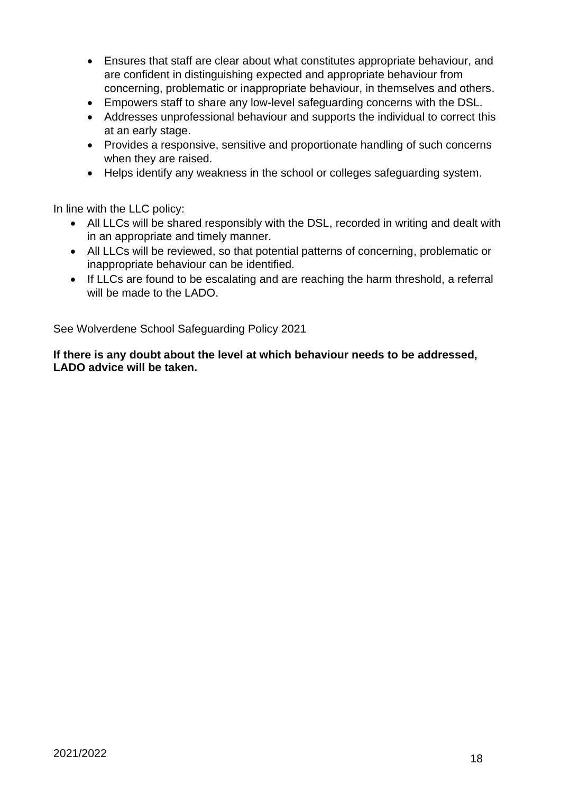- Ensures that staff are clear about what constitutes appropriate behaviour, and are confident in distinguishing expected and appropriate behaviour from concerning, problematic or inappropriate behaviour, in themselves and others.
- Empowers staff to share any low-level safeguarding concerns with the DSL.
- Addresses unprofessional behaviour and supports the individual to correct this at an early stage.
- Provides a responsive, sensitive and proportionate handling of such concerns when they are raised.
- Helps identify any weakness in the school or colleges safeguarding system.

In line with the LLC policy:

- All LLCs will be shared responsibly with the DSL, recorded in writing and dealt with in an appropriate and timely manner.
- All LLCs will be reviewed, so that potential patterns of concerning, problematic or inappropriate behaviour can be identified.
- If LLCs are found to be escalating and are reaching the harm threshold, a referral will be made to the LADO.

See Wolverdene School Safeguarding Policy 2021

**If there is any doubt about the level at which behaviour needs to be addressed, LADO advice will be taken.**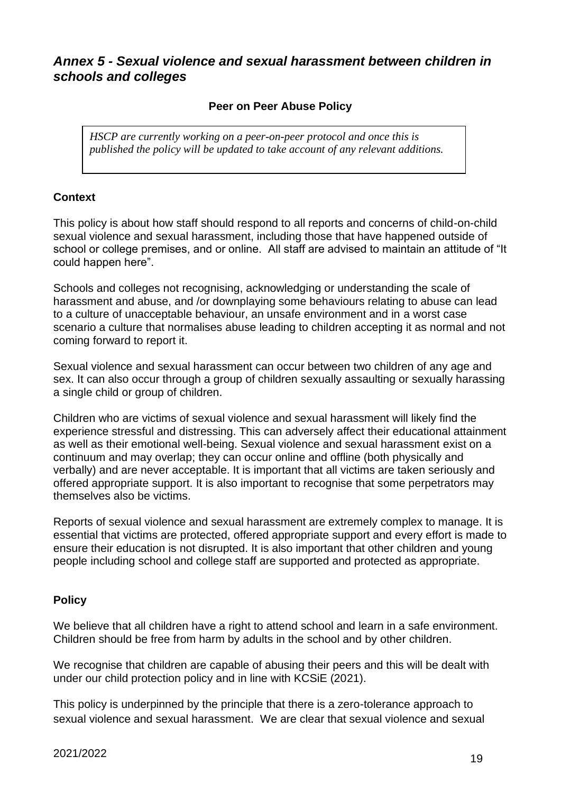## <span id="page-18-0"></span>*Annex 5 - Sexual violence and sexual harassment between children in schools and colleges*

### **Peer on Peer Abuse Policy**

*HSCP are currently working on a peer-on-peer protocol and once this is published the policy will be updated to take account of any relevant additions.*

### **Context**

This policy is about how staff should respond to all reports and concerns of child-on-child sexual violence and sexual harassment, including those that have happened outside of school or college premises, and or online. All staff are advised to maintain an attitude of "It could happen here".

Schools and colleges not recognising, acknowledging or understanding the scale of harassment and abuse, and /or downplaying some behaviours relating to abuse can lead to a culture of unacceptable behaviour, an unsafe environment and in a worst case scenario a culture that normalises abuse leading to children accepting it as normal and not coming forward to report it.

Sexual violence and sexual harassment can occur between two children of any age and sex. It can also occur through a group of children sexually assaulting or sexually harassing a single child or group of children.

Children who are victims of sexual violence and sexual harassment will likely find the experience stressful and distressing. This can adversely affect their educational attainment as well as their emotional well-being. Sexual violence and sexual harassment exist on a continuum and may overlap; they can occur online and offline (both physically and verbally) and are never acceptable. It is important that all victims are taken seriously and offered appropriate support. It is also important to recognise that some perpetrators may themselves also be victims.

Reports of sexual violence and sexual harassment are extremely complex to manage. It is essential that victims are protected, offered appropriate support and every effort is made to ensure their education is not disrupted. It is also important that other children and young people including school and college staff are supported and protected as appropriate.

### **Policy**

We believe that all children have a right to attend school and learn in a safe environment. Children should be free from harm by adults in the school and by other children.

We recognise that children are capable of abusing their peers and this will be dealt with under our child protection policy and in line with KCSiE (2021).

This policy is underpinned by the principle that there is a zero-tolerance approach to sexual violence and sexual harassment. We are clear that sexual violence and sexual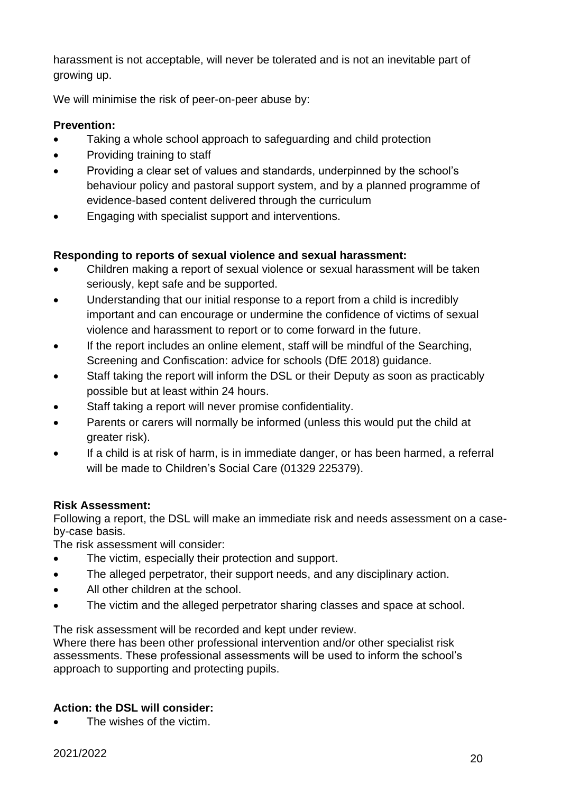harassment is not acceptable, will never be tolerated and is not an inevitable part of growing up.

We will minimise the risk of peer-on-peer abuse by:

### **Prevention:**

- Taking a whole school approach to safeguarding and child protection
- Providing training to staff
- Providing a clear set of values and standards, underpinned by the school's behaviour policy and pastoral support system, and by a planned programme of evidence-based content delivered through the curriculum
- Engaging with specialist support and interventions.

## **Responding to reports of sexual violence and sexual harassment:**

- Children making a report of sexual violence or sexual harassment will be taken seriously, kept safe and be supported.
- Understanding that our initial response to a report from a child is incredibly important and can encourage or undermine the confidence of victims of sexual violence and harassment to report or to come forward in the future.
- If the report includes an online element, staff will be mindful of the Searching. Screening and Confiscation: advice for schools (DfE 2018) guidance.
- Staff taking the report will inform the DSL or their Deputy as soon as practicably possible but at least within 24 hours.
- Staff taking a report will never promise confidentiality.
- Parents or carers will normally be informed (unless this would put the child at greater risk).
- If a child is at risk of harm, is in immediate danger, or has been harmed, a referral will be made to Children's Social Care (01329 225379).

### **Risk Assessment:**

Following a report, the DSL will make an immediate risk and needs assessment on a caseby-case basis.

The risk assessment will consider:

- The victim, especially their protection and support.
- The alleged perpetrator, their support needs, and any disciplinary action.
- All other children at the school.
- The victim and the alleged perpetrator sharing classes and space at school.

The risk assessment will be recorded and kept under review.

Where there has been other professional intervention and/or other specialist risk assessments. These professional assessments will be used to inform the school's approach to supporting and protecting pupils.

## **Action: the DSL will consider:**

The wishes of the victim.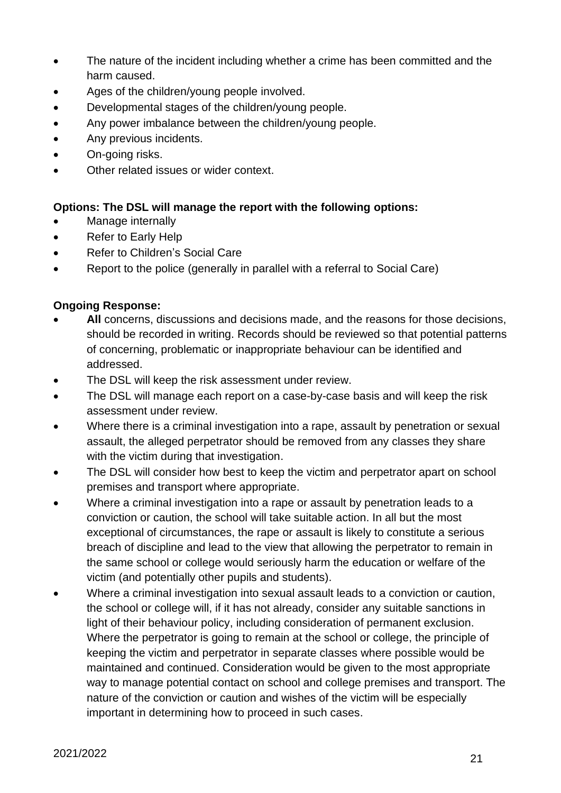- The nature of the incident including whether a crime has been committed and the harm caused.
- Ages of the children/young people involved.
- Developmental stages of the children/young people.
- Any power imbalance between the children/young people.
- Any previous incidents.
- On-going risks.
- Other related issues or wider context.

### **Options: The DSL will manage the report with the following options:**

- Manage internally
- Refer to Early Help
- Refer to Children's Social Care
- Report to the police (generally in parallel with a referral to Social Care)

### **Ongoing Response:**

- All concerns, discussions and decisions made, and the reasons for those decisions, should be recorded in writing. Records should be reviewed so that potential patterns of concerning, problematic or inappropriate behaviour can be identified and addressed.
- The DSL will keep the risk assessment under review.
- The DSL will manage each report on a case-by-case basis and will keep the risk assessment under review.
- Where there is a criminal investigation into a rape, assault by penetration or sexual assault, the alleged perpetrator should be removed from any classes they share with the victim during that investigation.
- The DSL will consider how best to keep the victim and perpetrator apart on school premises and transport where appropriate.
- Where a criminal investigation into a rape or assault by penetration leads to a conviction or caution, the school will take suitable action. In all but the most exceptional of circumstances, the rape or assault is likely to constitute a serious breach of discipline and lead to the view that allowing the perpetrator to remain in the same school or college would seriously harm the education or welfare of the victim (and potentially other pupils and students).
- Where a criminal investigation into sexual assault leads to a conviction or caution, the school or college will, if it has not already, consider any suitable sanctions in light of their behaviour policy, including consideration of permanent exclusion. Where the perpetrator is going to remain at the school or college, the principle of keeping the victim and perpetrator in separate classes where possible would be maintained and continued. Consideration would be given to the most appropriate way to manage potential contact on school and college premises and transport. The nature of the conviction or caution and wishes of the victim will be especially important in determining how to proceed in such cases.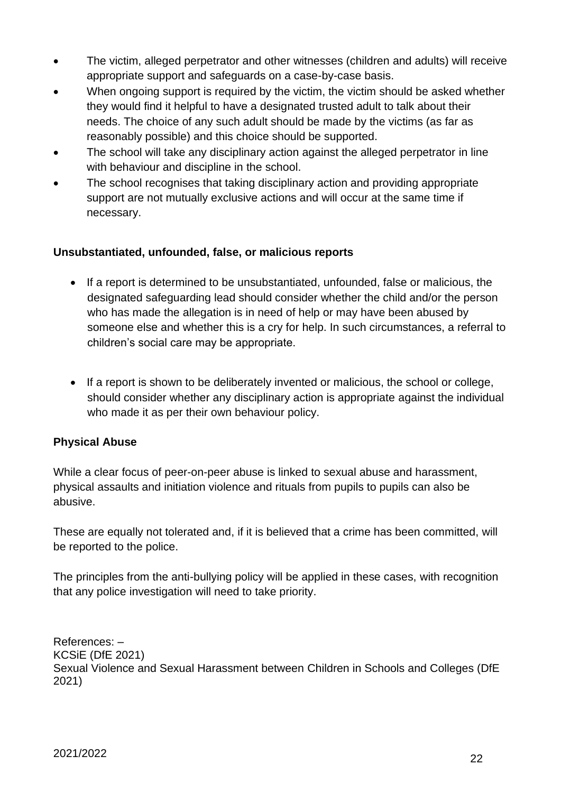- The victim, alleged perpetrator and other witnesses (children and adults) will receive appropriate support and safeguards on a case-by-case basis.
- When ongoing support is required by the victim, the victim should be asked whether they would find it helpful to have a designated trusted adult to talk about their needs. The choice of any such adult should be made by the victims (as far as reasonably possible) and this choice should be supported.
- The school will take any disciplinary action against the alleged perpetrator in line with behaviour and discipline in the school.
- The school recognises that taking disciplinary action and providing appropriate support are not mutually exclusive actions and will occur at the same time if necessary.

### **Unsubstantiated, unfounded, false, or malicious reports**

- If a report is determined to be unsubstantiated, unfounded, false or malicious, the designated safeguarding lead should consider whether the child and/or the person who has made the allegation is in need of help or may have been abused by someone else and whether this is a cry for help. In such circumstances, a referral to children's social care may be appropriate.
- If a report is shown to be deliberately invented or malicious, the school or college, should consider whether any disciplinary action is appropriate against the individual who made it as per their own behaviour policy.

### **Physical Abuse**

While a clear focus of peer-on-peer abuse is linked to sexual abuse and harassment, physical assaults and initiation violence and rituals from pupils to pupils can also be abusive.

These are equally not tolerated and, if it is believed that a crime has been committed, will be reported to the police.

The principles from the anti-bullying policy will be applied in these cases, with recognition that any police investigation will need to take priority.

References: – KCSiE (DfE 2021) Sexual Violence and Sexual Harassment between Children in Schools and Colleges (DfE 2021)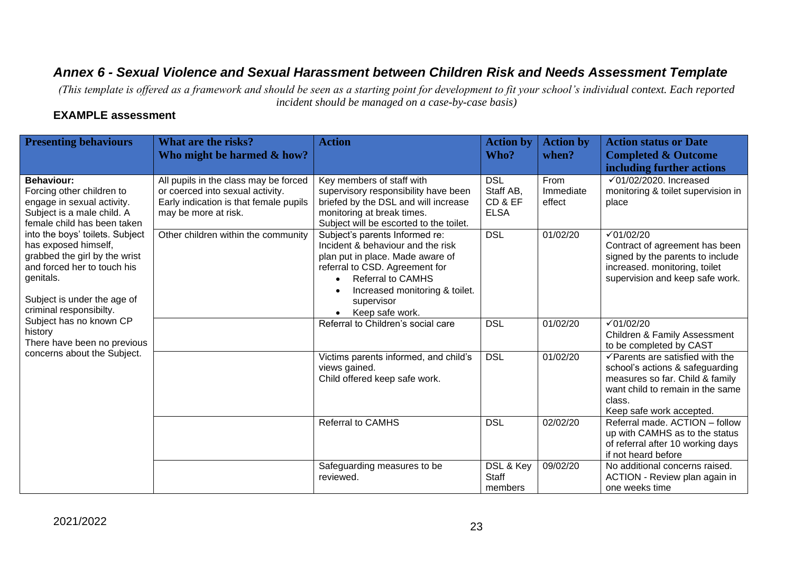# *Annex 6 - Sexual Violence and Sexual Harassment between Children Risk and Needs Assessment Template*

*(This template is offered as a framework and should be seen as a starting point for development to fit your school's individual context. Each reported incident should be managed on a case-by-case basis)* 

## **EXAMPLE assessment**

<span id="page-22-0"></span>

| <b>Presenting behaviours</b>                                                                                                                                                                                                                                                                                                                                                                                                                    | What are the risks?<br>Who might be harmed & how?                                                                                           | <b>Action</b>                                                                                                                                                                                                                                                      | <b>Action by</b><br>Who?                        | <b>Action by</b><br>when?   | <b>Action status or Date</b><br><b>Completed &amp; Outcome</b><br>including further actions                                                                                                 |
|-------------------------------------------------------------------------------------------------------------------------------------------------------------------------------------------------------------------------------------------------------------------------------------------------------------------------------------------------------------------------------------------------------------------------------------------------|---------------------------------------------------------------------------------------------------------------------------------------------|--------------------------------------------------------------------------------------------------------------------------------------------------------------------------------------------------------------------------------------------------------------------|-------------------------------------------------|-----------------------------|---------------------------------------------------------------------------------------------------------------------------------------------------------------------------------------------|
| <b>Behaviour:</b><br>Forcing other children to<br>engage in sexual activity.<br>Subject is a male child. A<br>female child has been taken<br>into the boys' toilets. Subject<br>has exposed himself,<br>grabbed the girl by the wrist<br>and forced her to touch his<br>genitals.<br>Subject is under the age of<br>criminal responsibilty.<br>Subject has no known CP<br>history<br>There have been no previous<br>concerns about the Subject. | All pupils in the class may be forced<br>or coerced into sexual activity.<br>Early indication is that female pupils<br>may be more at risk. | Key members of staff with<br>supervisory responsibility have been<br>briefed by the DSL and will increase<br>monitoring at break times.<br>Subject will be escorted to the toilet.                                                                                 | <b>DSL</b><br>Staff AB,<br>CD&EF<br><b>ELSA</b> | From<br>Immediate<br>effect | $\checkmark$ 01/02/2020. Increased<br>monitoring & toilet supervision in<br>place                                                                                                           |
|                                                                                                                                                                                                                                                                                                                                                                                                                                                 | Other children within the community                                                                                                         | Subject's parents Informed re:<br>Incident & behaviour and the risk<br>plan put in place. Made aware of<br>referral to CSD. Agreement for<br><b>Referral to CAMHS</b><br>$\bullet$<br>Increased monitoring & toilet.<br>supervisor<br>Keep safe work.<br>$\bullet$ | <b>DSL</b>                                      | 01/02/20                    | $\sqrt{01/02/20}$<br>Contract of agreement has been<br>signed by the parents to include<br>increased. monitoring, toilet<br>supervision and keep safe work.                                 |
|                                                                                                                                                                                                                                                                                                                                                                                                                                                 |                                                                                                                                             | Referral to Children's social care                                                                                                                                                                                                                                 | <b>DSL</b>                                      | 01/02/20                    | $\sqrt{01/02/20}$<br><b>Children &amp; Family Assessment</b><br>to be completed by CAST                                                                                                     |
|                                                                                                                                                                                                                                                                                                                                                                                                                                                 |                                                                                                                                             | Victims parents informed, and child's<br>views gained.<br>Child offered keep safe work.                                                                                                                                                                            | <b>DSL</b>                                      | 01/02/20                    | $\checkmark$ Parents are satisfied with the<br>school's actions & safeguarding<br>measures so far. Child & family<br>want child to remain in the same<br>class.<br>Keep safe work accepted. |
|                                                                                                                                                                                                                                                                                                                                                                                                                                                 |                                                                                                                                             | <b>Referral to CAMHS</b>                                                                                                                                                                                                                                           | <b>DSL</b>                                      | 02/02/20                    | Referral made. ACTION - follow<br>up with CAMHS as to the status<br>of referral after 10 working days<br>if not heard before                                                                |
|                                                                                                                                                                                                                                                                                                                                                                                                                                                 |                                                                                                                                             | Safeguarding measures to be<br>reviewed.                                                                                                                                                                                                                           | DSL & Key<br>Staff<br>members                   | 09/02/20                    | No additional concerns raised.<br>ACTION - Review plan again in<br>one weeks time                                                                                                           |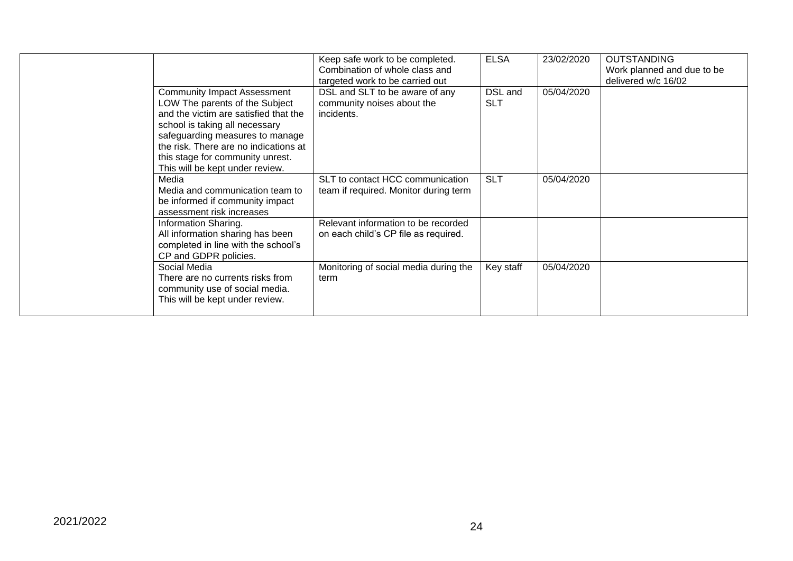|                                                                                                                                                                                                                                                                                                    | Keep safe work to be completed.<br>Combination of whole class and<br>targeted work to be carried out | <b>ELSA</b>           | 23/02/2020 | <b>OUTSTANDING</b><br>Work planned and due to be<br>delivered w/c 16/02 |
|----------------------------------------------------------------------------------------------------------------------------------------------------------------------------------------------------------------------------------------------------------------------------------------------------|------------------------------------------------------------------------------------------------------|-----------------------|------------|-------------------------------------------------------------------------|
| <b>Community Impact Assessment</b><br>LOW The parents of the Subject<br>and the victim are satisfied that the<br>school is taking all necessary<br>safeguarding measures to manage<br>the risk. There are no indications at<br>this stage for community unrest.<br>This will be kept under review. | DSL and SLT to be aware of any<br>community noises about the<br>incidents.                           | DSL and<br><b>SLT</b> | 05/04/2020 |                                                                         |
| Media<br>Media and communication team to<br>be informed if community impact<br>assessment risk increases                                                                                                                                                                                           | SLT to contact HCC communication<br>team if required. Monitor during term                            | <b>SLT</b>            | 05/04/2020 |                                                                         |
| Information Sharing.<br>All information sharing has been<br>completed in line with the school's<br>CP and GDPR policies.                                                                                                                                                                           | Relevant information to be recorded<br>on each child's CP file as required.                          |                       |            |                                                                         |
| Social Media<br>There are no currents risks from<br>community use of social media.<br>This will be kept under review.                                                                                                                                                                              | Monitoring of social media during the<br>term                                                        | Key staff             | 05/04/2020 |                                                                         |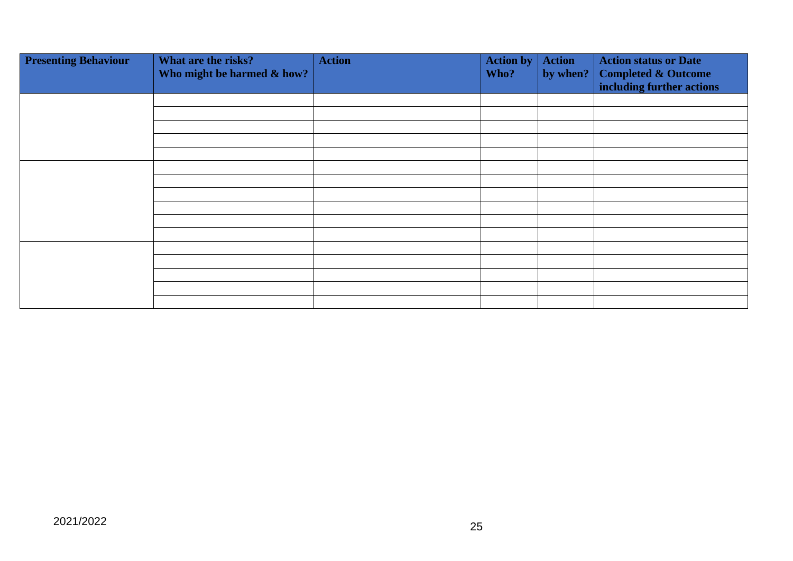| <b>Presenting Behaviour</b> | What are the risks?<br>Who might be harmed & how? | <b>Action</b> | <b>Action by</b><br>Who? | <b>Action</b><br>by when? $\vert$ | <b>Action status or Date</b><br><b>Completed &amp; Outcome</b><br>including further actions |
|-----------------------------|---------------------------------------------------|---------------|--------------------------|-----------------------------------|---------------------------------------------------------------------------------------------|
|                             |                                                   |               |                          |                                   |                                                                                             |
|                             |                                                   |               |                          |                                   |                                                                                             |
|                             |                                                   |               |                          |                                   |                                                                                             |
|                             |                                                   |               |                          |                                   |                                                                                             |
|                             |                                                   |               |                          |                                   |                                                                                             |
|                             |                                                   |               |                          |                                   |                                                                                             |
|                             |                                                   |               |                          |                                   |                                                                                             |
|                             |                                                   |               |                          |                                   |                                                                                             |
|                             |                                                   |               |                          |                                   |                                                                                             |
|                             |                                                   |               |                          |                                   |                                                                                             |
|                             |                                                   |               |                          |                                   |                                                                                             |
|                             |                                                   |               |                          |                                   |                                                                                             |
|                             |                                                   |               |                          |                                   |                                                                                             |
|                             |                                                   |               |                          |                                   |                                                                                             |
|                             |                                                   |               |                          |                                   |                                                                                             |
|                             |                                                   |               |                          |                                   |                                                                                             |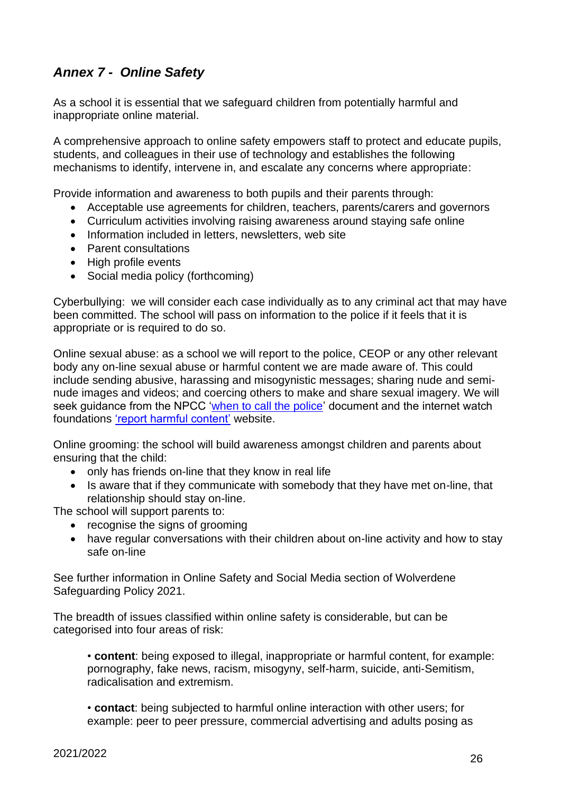# <span id="page-25-0"></span>*Annex 7 - Online Safety*

As a school it is essential that we safeguard children from potentially harmful and inappropriate online material.

A comprehensive approach to online safety empowers staff to protect and educate pupils, students, and colleagues in their use of technology and establishes the following mechanisms to identify, intervene in, and escalate any concerns where appropriate:

Provide information and awareness to both pupils and their parents through:

- Acceptable use agreements for children, teachers, parents/carers and governors
- Curriculum activities involving raising awareness around staying safe online
- Information included in letters, newsletters, web site
- Parent consultations
- High profile events
- Social media policy (forthcoming)

Cyberbullying: we will consider each case individually as to any criminal act that may have been committed. The school will pass on information to the police if it feels that it is appropriate or is required to do so.

Online sexual abuse: as a school we will report to the police, CEOP or any other relevant body any on-line sexual abuse or harmful content we are made aware of. This could include sending abusive, harassing and misogynistic messages; sharing nude and seminude images and videos; and coercing others to make and share sexual imagery. We will seek guidance from the NPCC ['when to call the police'](https://www.npcc.police.uk/documents/Children%20and%20Young%20people/When%20to%20call%20the%20police%20guidance%20for%20schools%20and%20colleges.pdf) document and the internet watch foundations ['report harmful content'](https://reportharmfulcontent.com/?lang=en) website.

Online grooming: the school will build awareness amongst children and parents about ensuring that the child:

- only has friends on-line that they know in real life
- Is aware that if they communicate with somebody that they have met on-line, that relationship should stay on-line.

The school will support parents to:

- recognise the signs of grooming
- have regular conversations with their children about on-line activity and how to stay safe on-line

See further information in Online Safety and Social Media section of Wolverdene Safeguarding Policy 2021.

The breadth of issues classified within online safety is considerable, but can be categorised into four areas of risk:

• **content**: being exposed to illegal, inappropriate or harmful content, for example: pornography, fake news, racism, misogyny, self-harm, suicide, anti-Semitism, radicalisation and extremism.

• **contact**: being subjected to harmful online interaction with other users; for example: peer to peer pressure, commercial advertising and adults posing as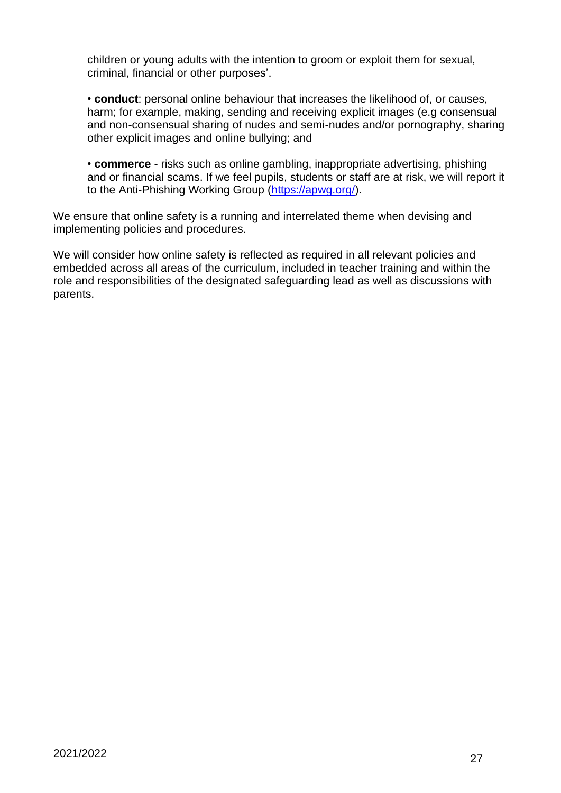children or young adults with the intention to groom or exploit them for sexual, criminal, financial or other purposes'.

• **conduct**: personal online behaviour that increases the likelihood of, or causes, harm; for example, making, sending and receiving explicit images (e.g consensual and non-consensual sharing of nudes and semi-nudes and/or pornography, sharing other explicit images and online bullying; and

• **commerce** - risks such as online gambling, inappropriate advertising, phishing and or financial scams. If we feel pupils, students or staff are at risk, we will report it to the Anti-Phishing Working Group [\(https://apwg.org/\)](https://apwg.org/).

We ensure that online safety is a running and interrelated theme when devising and implementing policies and procedures.

We will consider how online safety is reflected as required in all relevant policies and embedded across all areas of the curriculum, included in teacher training and within the role and responsibilities of the designated safeguarding lead as well as discussions with parents.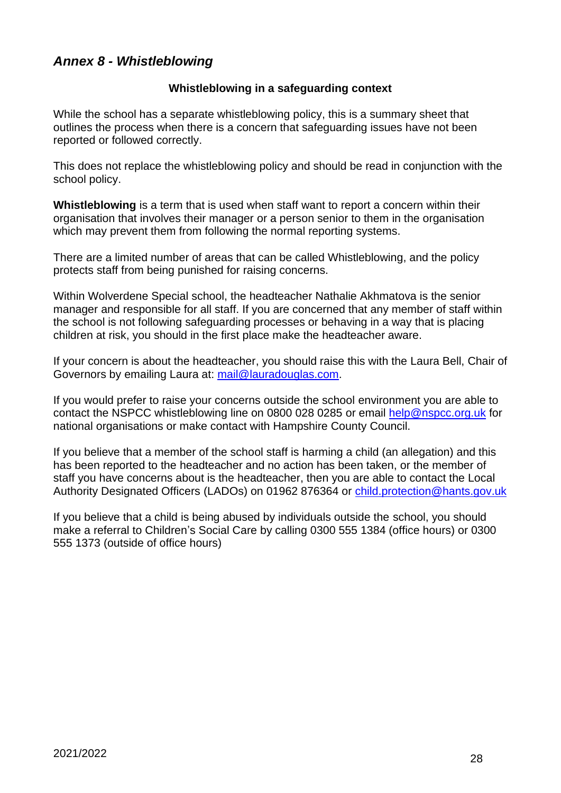## <span id="page-27-0"></span>*Annex 8 - Whistleblowing*

### **Whistleblowing in a safeguarding context**

While the school has a separate whistleblowing policy, this is a summary sheet that outlines the process when there is a concern that safeguarding issues have not been reported or followed correctly.

This does not replace the whistleblowing policy and should be read in conjunction with the school policy.

**Whistleblowing** is a term that is used when staff want to report a concern within their organisation that involves their manager or a person senior to them in the organisation which may prevent them from following the normal reporting systems.

There are a limited number of areas that can be called Whistleblowing, and the policy protects staff from being punished for raising concerns.

Within Wolverdene Special school, the headteacher Nathalie Akhmatova is the senior manager and responsible for all staff. If you are concerned that any member of staff within the school is not following safeguarding processes or behaving in a way that is placing children at risk, you should in the first place make the headteacher aware.

If your concern is about the headteacher, you should raise this with the Laura Bell, Chair of Governors by emailing Laura at: [mail@lauradouglas.com.](mailto:mail@lauradouglas.com)

If you would prefer to raise your concerns outside the school environment you are able to contact the NSPCC whistleblowing line on 0800 028 0285 or email [help@nspcc.org.uk](mailto:help@nspcc.org.uk) for national organisations or make contact with Hampshire County Council.

If you believe that a member of the school staff is harming a child (an allegation) and this has been reported to the headteacher and no action has been taken, or the member of staff you have concerns about is the headteacher, then you are able to contact the Local Authority Designated Officers (LADOs) on 01962 876364 or [child.protection@hants.gov.uk](mailto:child.protection@hants.gov.uk)

If you believe that a child is being abused by individuals outside the school, you should make a referral to Children's Social Care by calling 0300 555 1384 (office hours) or 0300 555 1373 (outside of office hours)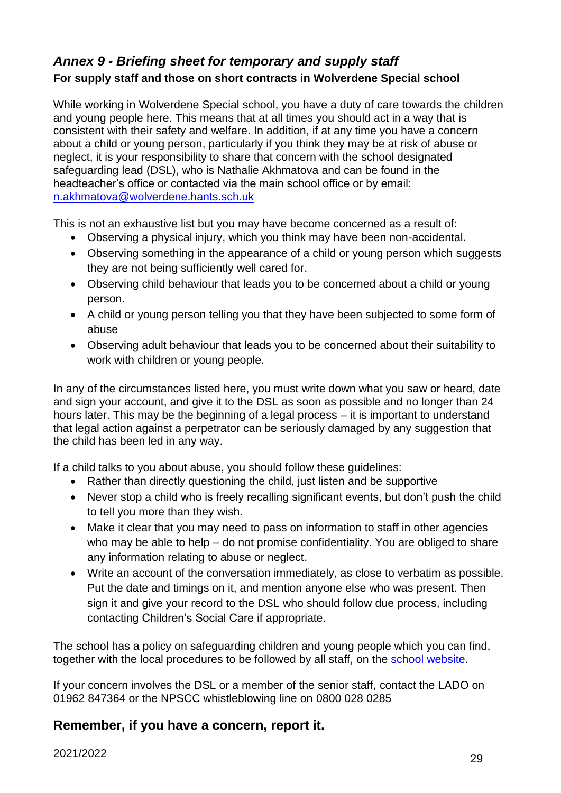# <span id="page-28-0"></span>*Annex 9 - Briefing sheet for temporary and supply staff* **For supply staff and those on short contracts in Wolverdene Special school**

While working in Wolverdene Special school, you have a duty of care towards the children and young people here. This means that at all times you should act in a way that is consistent with their safety and welfare. In addition, if at any time you have a concern about a child or young person, particularly if you think they may be at risk of abuse or neglect, it is your responsibility to share that concern with the school designated safeguarding lead (DSL), who is Nathalie Akhmatova and can be found in the headteacher's office or contacted via the main school office or by email: [n.akhmatova@wolverdene.hants.sch.uk](mailto:n.akhmatova@wolverdene.hants.sch.uk)

This is not an exhaustive list but you may have become concerned as a result of:

- Observing a physical injury, which you think may have been non-accidental.
- Observing something in the appearance of a child or young person which suggests they are not being sufficiently well cared for.
- Observing child behaviour that leads you to be concerned about a child or young person.
- A child or young person telling you that they have been subjected to some form of abuse
- Observing adult behaviour that leads you to be concerned about their suitability to work with children or young people.

In any of the circumstances listed here, you must write down what you saw or heard, date and sign your account, and give it to the DSL as soon as possible and no longer than 24 hours later. This may be the beginning of a legal process – it is important to understand that legal action against a perpetrator can be seriously damaged by any suggestion that the child has been led in any way.

If a child talks to you about abuse, you should follow these guidelines:

- Rather than directly questioning the child, just listen and be supportive
- Never stop a child who is freely recalling significant events, but don't push the child to tell you more than they wish.
- Make it clear that you may need to pass on information to staff in other agencies who may be able to help – do not promise confidentiality. You are obliged to share any information relating to abuse or neglect.
- Write an account of the conversation immediately, as close to verbatim as possible. Put the date and timings on it, and mention anyone else who was present. Then sign it and give your record to the DSL who should follow due process, including contacting Children's Social Care if appropriate.

The school has a policy on safeguarding children and young people which you can find, together with the local procedures to be followed by all staff, on the [school website.](https://www.wolverdene.hants.sch.uk/information/policies/)

If your concern involves the DSL or a member of the senior staff, contact the LADO on 01962 847364 or the NPSCC whistleblowing line on 0800 028 0285

## **Remember, if you have a concern, report it.**

# 2021/2022 <sup>29</sup>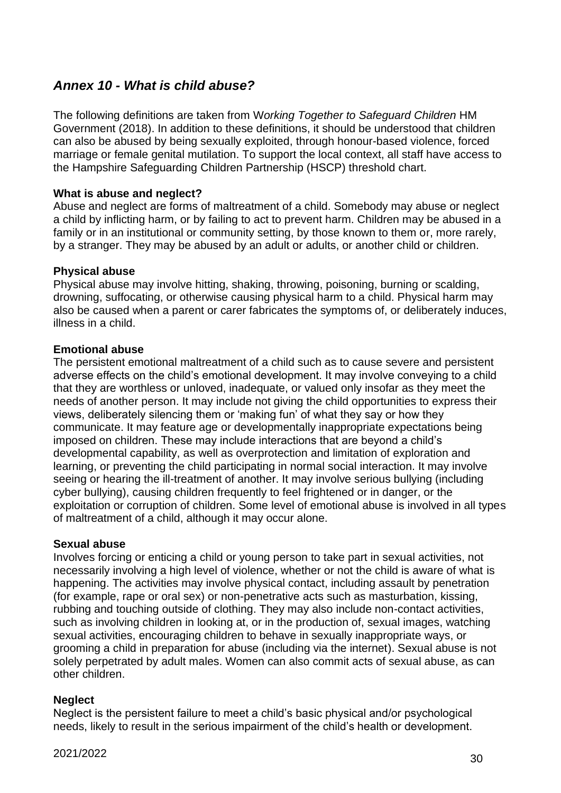# <span id="page-29-0"></span>*Annex 10 - What is child abuse?*

The following definitions are taken from W*orking Together to Safeguard Children* HM Government (2018). In addition to these definitions, it should be understood that children can also be abused by being sexually exploited, through honour-based violence, forced marriage or female genital mutilation. To support the local context, all staff have access to the Hampshire Safeguarding Children Partnership (HSCP) threshold chart.

### **What is abuse and neglect?**

Abuse and neglect are forms of maltreatment of a child. Somebody may abuse or neglect a child by inflicting harm, or by failing to act to prevent harm. Children may be abused in a family or in an institutional or community setting, by those known to them or, more rarely, by a stranger. They may be abused by an adult or adults, or another child or children.

### **Physical abuse**

Physical abuse may involve hitting, shaking, throwing, poisoning, burning or scalding, drowning, suffocating, or otherwise causing physical harm to a child. Physical harm may also be caused when a parent or carer fabricates the symptoms of, or deliberately induces, illness in a child.

#### **Emotional abuse**

The persistent emotional maltreatment of a child such as to cause severe and persistent adverse effects on the child's emotional development. It may involve conveying to a child that they are worthless or unloved, inadequate, or valued only insofar as they meet the needs of another person. It may include not giving the child opportunities to express their views, deliberately silencing them or 'making fun' of what they say or how they communicate. It may feature age or developmentally inappropriate expectations being imposed on children. These may include interactions that are beyond a child's developmental capability, as well as overprotection and limitation of exploration and learning, or preventing the child participating in normal social interaction. It may involve seeing or hearing the ill-treatment of another. It may involve serious bullying (including cyber bullying), causing children frequently to feel frightened or in danger, or the exploitation or corruption of children. Some level of emotional abuse is involved in all types of maltreatment of a child, although it may occur alone.

### **Sexual abuse**

Involves forcing or enticing a child or young person to take part in sexual activities, not necessarily involving a high level of violence, whether or not the child is aware of what is happening. The activities may involve physical contact, including assault by penetration (for example, rape or oral sex) or non-penetrative acts such as masturbation, kissing, rubbing and touching outside of clothing. They may also include non-contact activities, such as involving children in looking at, or in the production of, sexual images, watching sexual activities, encouraging children to behave in sexually inappropriate ways, or grooming a child in preparation for abuse (including via the internet). Sexual abuse is not solely perpetrated by adult males. Women can also commit acts of sexual abuse, as can other children.

### **Neglect**

Neglect is the persistent failure to meet a child's basic physical and/or psychological needs, likely to result in the serious impairment of the child's health or development.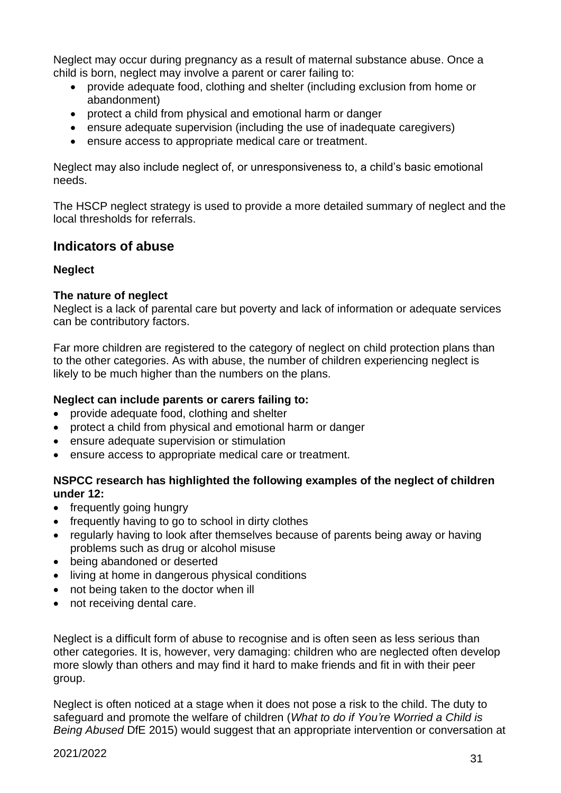Neglect may occur during pregnancy as a result of maternal substance abuse. Once a child is born, neglect may involve a parent or carer failing to:

- provide adequate food, clothing and shelter (including exclusion from home or abandonment)
- protect a child from physical and emotional harm or danger
- ensure adequate supervision (including the use of inadequate caregivers)
- ensure access to appropriate medical care or treatment.

Neglect may also include neglect of, or unresponsiveness to, a child's basic emotional needs.

The HSCP neglect strategy is used to provide a more detailed summary of neglect and the local thresholds for referrals.

## **Indicators of abuse**

### **Neglect**

### **The nature of neglect**

Neglect is a lack of parental care but poverty and lack of information or adequate services can be contributory factors.

Far more children are registered to the category of neglect on child protection plans than to the other categories. As with abuse, the number of children experiencing neglect is likely to be much higher than the numbers on the plans.

### **Neglect can include parents or carers failing to:**

- provide adequate food, clothing and shelter
- protect a child from physical and emotional harm or danger
- ensure adequate supervision or stimulation
- ensure access to appropriate medical care or treatment.

### **NSPCC research has highlighted the following examples of the neglect of children under 12:**

- frequently going hungry
- frequently having to go to school in dirty clothes
- regularly having to look after themselves because of parents being away or having problems such as drug or alcohol misuse
- being abandoned or deserted
- living at home in dangerous physical conditions
- not being taken to the doctor when ill
- not receiving dental care.

Neglect is a difficult form of abuse to recognise and is often seen as less serious than other categories. It is, however, very damaging: children who are neglected often develop more slowly than others and may find it hard to make friends and fit in with their peer group.

Neglect is often noticed at a stage when it does not pose a risk to the child. The duty to safeguard and promote the welfare of children (*What to do if You're Worried a Child is Being Abused* DfE 2015) would suggest that an appropriate intervention or conversation at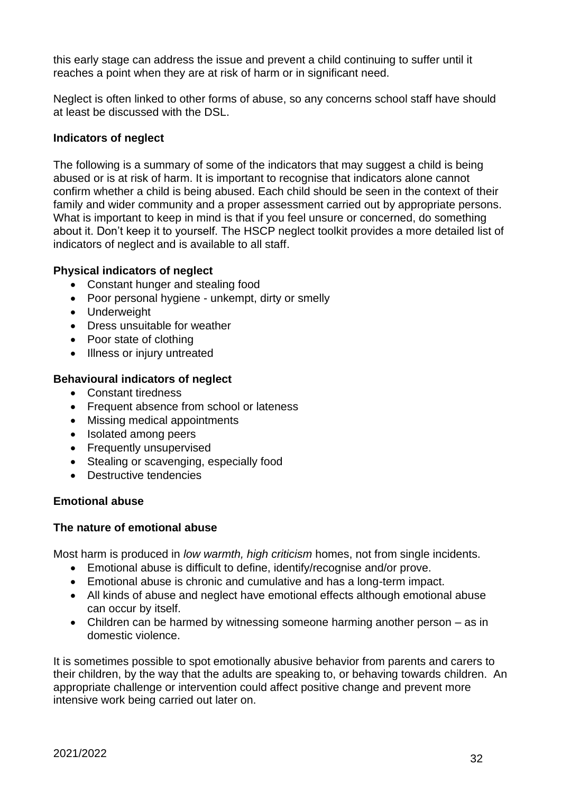this early stage can address the issue and prevent a child continuing to suffer until it reaches a point when they are at risk of harm or in significant need.

Neglect is often linked to other forms of abuse, so any concerns school staff have should at least be discussed with the DSL.

### **Indicators of neglect**

The following is a summary of some of the indicators that may suggest a child is being abused or is at risk of harm. It is important to recognise that indicators alone cannot confirm whether a child is being abused. Each child should be seen in the context of their family and wider community and a proper assessment carried out by appropriate persons. What is important to keep in mind is that if you feel unsure or concerned, do something about it. Don't keep it to yourself. The HSCP neglect toolkit provides a more detailed list of indicators of neglect and is available to all staff.

### **Physical indicators of neglect**

- Constant hunger and stealing food
- Poor personal hygiene unkempt, dirty or smelly
- Underweight
- Dress unsuitable for weather
- Poor state of clothing
- Illness or injury untreated

### **Behavioural indicators of neglect**

- Constant tiredness
- Frequent absence from school or lateness
- Missing medical appointments
- Isolated among peers
- Frequently unsupervised
- Stealing or scavenging, especially food
- Destructive tendencies

### **Emotional abuse**

### **The nature of emotional abuse**

Most harm is produced in *low warmth, high criticism* homes, not from single incidents.

- Emotional abuse is difficult to define, identify/recognise and/or prove.
- Emotional abuse is chronic and cumulative and has a long-term impact.
- All kinds of abuse and neglect have emotional effects although emotional abuse can occur by itself.
- Children can be harmed by witnessing someone harming another person as in domestic violence.

It is sometimes possible to spot emotionally abusive behavior from parents and carers to their children, by the way that the adults are speaking to, or behaving towards children. An appropriate challenge or intervention could affect positive change and prevent more intensive work being carried out later on.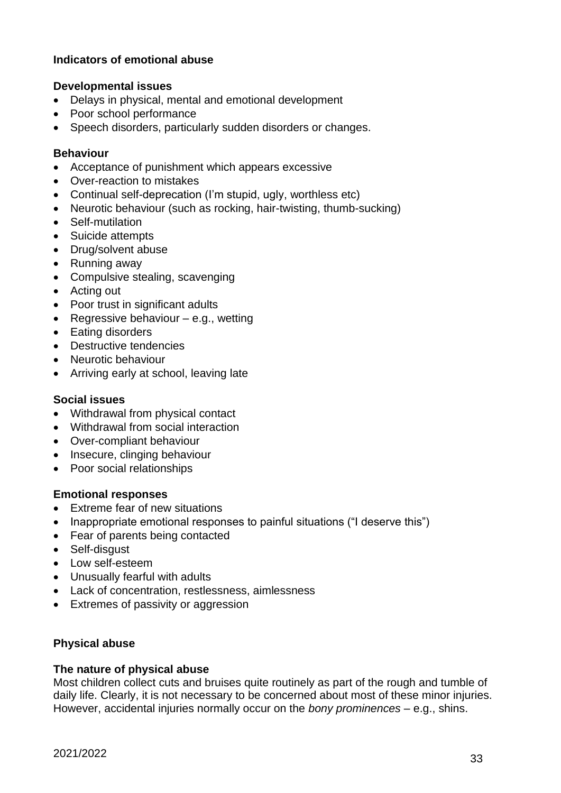### **Indicators of emotional abuse**

#### **Developmental issues**

- Delays in physical, mental and emotional development
- Poor school performance
- Speech disorders, particularly sudden disorders or changes.

#### **Behaviour**

- Acceptance of punishment which appears excessive
- Over-reaction to mistakes
- Continual self-deprecation (I'm stupid, ugly, worthless etc)
- Neurotic behaviour (such as rocking, hair-twisting, thumb-sucking)
- Self-mutilation
- Suicide attempts
- Drug/solvent abuse
- Running away
- Compulsive stealing, scavenging
- Acting out
- Poor trust in significant adults
- Regressive behaviour  $-$  e.g., wetting
- Eating disorders
- Destructive tendencies
- Neurotic behaviour
- Arriving early at school, leaving late

#### **Social issues**

- Withdrawal from physical contact
- Withdrawal from social interaction
- Over-compliant behaviour
- Insecure, clinging behaviour
- Poor social relationships

#### **Emotional responses**

- Extreme fear of new situations
- Inappropriate emotional responses to painful situations ("I deserve this")
- Fear of parents being contacted
- Self-disgust
- Low self-esteem
- Unusually fearful with adults
- Lack of concentration, restlessness, aimlessness
- Extremes of passivity or aggression

#### **Physical abuse**

#### **The nature of physical abuse**

Most children collect cuts and bruises quite routinely as part of the rough and tumble of daily life. Clearly, it is not necessary to be concerned about most of these minor injuries. However, accidental injuries normally occur on the *bony prominences* – e.g., shins.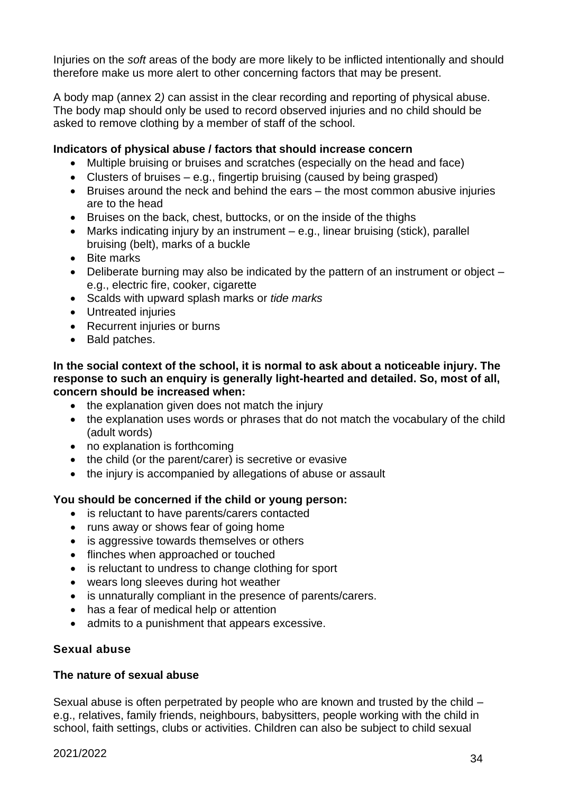Injuries on the *soft* areas of the body are more likely to be inflicted intentionally and should therefore make us more alert to other concerning factors that may be present.

A body map (annex 2*)* can assist in the clear recording and reporting of physical abuse. The body map should only be used to record observed injuries and no child should be asked to remove clothing by a member of staff of the school.

### **Indicators of physical abuse / factors that should increase concern**

- Multiple bruising or bruises and scratches (especially on the head and face)
- Clusters of bruises e.g., fingertip bruising (caused by being grasped)
- Bruises around the neck and behind the ears the most common abusive injuries are to the head
- Bruises on the back, chest, buttocks, or on the inside of the thighs
- Marks indicating injury by an instrument e.g., linear bruising (stick), parallel bruising (belt), marks of a buckle
- Bite marks
- Deliberate burning may also be indicated by the pattern of an instrument or object e.g., electric fire, cooker, cigarette
- Scalds with upward splash marks or *tide marks*
- Untreated injuries
- Recurrent injuries or burns
- Bald patches.

### **In the social context of the school, it is normal to ask about a noticeable injury. The response to such an enquiry is generally light-hearted and detailed. So, most of all, concern should be increased when:**

- the explanation given does not match the injury
- the explanation uses words or phrases that do not match the vocabulary of the child (adult words)
- no explanation is forthcoming
- the child (or the parent/carer) is secretive or evasive
- the injury is accompanied by allegations of abuse or assault

### **You should be concerned if the child or young person:**

- is reluctant to have parents/carers contacted
- runs away or shows fear of going home
- is aggressive towards themselves or others
- flinches when approached or touched
- is reluctant to undress to change clothing for sport
- wears long sleeves during hot weather
- is unnaturally compliant in the presence of parents/carers.
- has a fear of medical help or attention
- admits to a punishment that appears excessive.

### **Sexual abuse**

### **The nature of sexual abuse**

Sexual abuse is often perpetrated by people who are known and trusted by the child – e.g., relatives, family friends, neighbours, babysitters, people working with the child in school, faith settings, clubs or activities. Children can also be subject to child sexual

# 2021/2022 34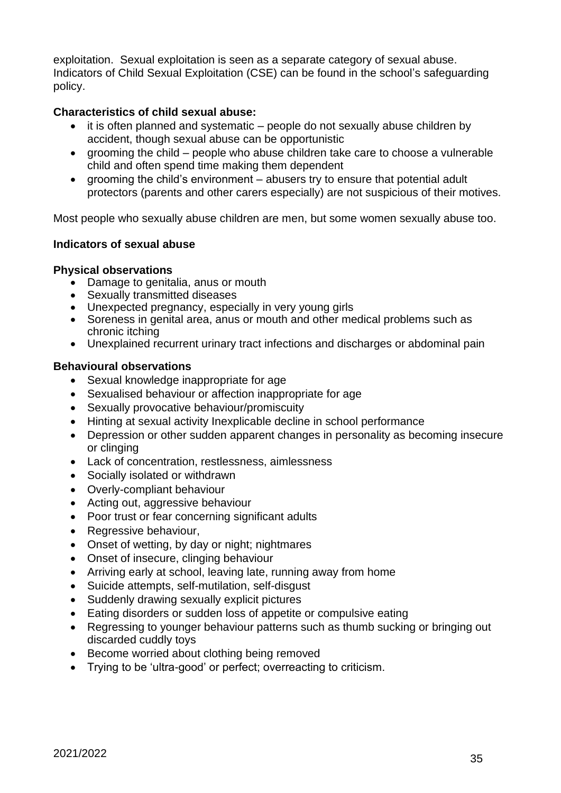exploitation. Sexual exploitation is seen as a separate category of sexual abuse. Indicators of Child Sexual Exploitation (CSE) can be found in the school's safeguarding policy.

### **Characteristics of child sexual abuse:**

- it is often planned and systematic people do not sexually abuse children by accident, though sexual abuse can be opportunistic
- grooming the child people who abuse children take care to choose a vulnerable child and often spend time making them dependent
- grooming the child's environment abusers try to ensure that potential adult protectors (parents and other carers especially) are not suspicious of their motives.

Most people who sexually abuse children are men, but some women sexually abuse too.

### **Indicators of sexual abuse**

#### **Physical observations**

- Damage to genitalia, anus or mouth
- Sexually transmitted diseases
- Unexpected pregnancy, especially in very young girls
- Soreness in genital area, anus or mouth and other medical problems such as chronic itching
- Unexplained recurrent urinary tract infections and discharges or abdominal pain

#### **Behavioural observations**

- Sexual knowledge inappropriate for age
- Sexualised behaviour or affection inappropriate for age
- Sexually provocative behaviour/promiscuity
- Hinting at sexual activity Inexplicable decline in school performance
- Depression or other sudden apparent changes in personality as becoming insecure or clinging
- Lack of concentration, restlessness, aimlessness
- Socially isolated or withdrawn
- Overly-compliant behaviour
- Acting out, aggressive behaviour
- Poor trust or fear concerning significant adults
- Regressive behaviour,
- Onset of wetting, by day or night; nightmares
- Onset of insecure, clinging behaviour
- Arriving early at school, leaving late, running away from home
- Suicide attempts, self-mutilation, self-disgust
- Suddenly drawing sexually explicit pictures
- Eating disorders or sudden loss of appetite or compulsive eating
- Regressing to younger behaviour patterns such as thumb sucking or bringing out discarded cuddly toys
- Become worried about clothing being removed
- Trying to be 'ultra-good' or perfect; overreacting to criticism.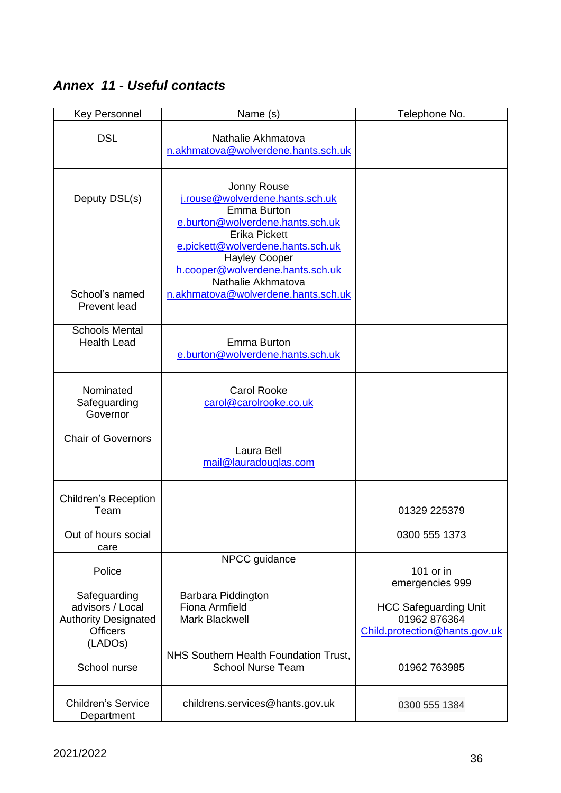<span id="page-35-0"></span>*Annex 11 - Useful contacts*

| <b>Key Personnel</b>                                                                                       | Name (s)                                                                                                                                                                                                                   | Telephone No.                                                                 |
|------------------------------------------------------------------------------------------------------------|----------------------------------------------------------------------------------------------------------------------------------------------------------------------------------------------------------------------------|-------------------------------------------------------------------------------|
| <b>DSL</b>                                                                                                 | Nathalie Akhmatova<br>n.akhmatova@wolverdene.hants.sch.uk                                                                                                                                                                  |                                                                               |
| Deputy DSL(s)                                                                                              | Jonny Rouse<br>j.rouse@wolverdene.hants.sch.uk<br>Emma Burton<br>e.burton@wolverdene.hants.sch.uk<br><b>Erika Pickett</b><br>e.pickett@wolverdene.hants.sch.uk<br><b>Hayley Cooper</b><br>h.cooper@wolverdene.hants.sch.uk |                                                                               |
| School's named<br><b>Prevent lead</b>                                                                      | Nathalie Akhmatova<br>n.akhmatova@wolverdene.hants.sch.uk                                                                                                                                                                  |                                                                               |
| <b>Schools Mental</b><br><b>Health Lead</b>                                                                | Emma Burton<br>e.burton@wolverdene.hants.sch.uk                                                                                                                                                                            |                                                                               |
| Nominated<br>Safeguarding<br>Governor                                                                      | <b>Carol Rooke</b><br>carol@carolrooke.co.uk                                                                                                                                                                               |                                                                               |
| <b>Chair of Governors</b>                                                                                  | Laura Bell<br>mail@lauradouglas.com                                                                                                                                                                                        |                                                                               |
| <b>Children's Reception</b><br>Team                                                                        |                                                                                                                                                                                                                            | 01329 225379                                                                  |
| Out of hours social<br>care                                                                                |                                                                                                                                                                                                                            | 0300 555 1373                                                                 |
| Police                                                                                                     | NPCC guidance                                                                                                                                                                                                              | 101 or in<br>emergencies 999                                                  |
| Safeguarding<br>advisors / Local<br><b>Authority Designated</b><br><b>Officers</b><br>(LADO <sub>s</sub> ) | Barbara Piddington<br><b>Fiona Armfield</b><br><b>Mark Blackwell</b>                                                                                                                                                       | <b>HCC Safeguarding Unit</b><br>01962 876364<br>Child.protection@hants.gov.uk |
| School nurse                                                                                               | NHS Southern Health Foundation Trust,<br><b>School Nurse Team</b>                                                                                                                                                          | 01962 763985                                                                  |
| <b>Children's Service</b><br>Department                                                                    | childrens.services@hants.gov.uk                                                                                                                                                                                            | 0300 555 1384                                                                 |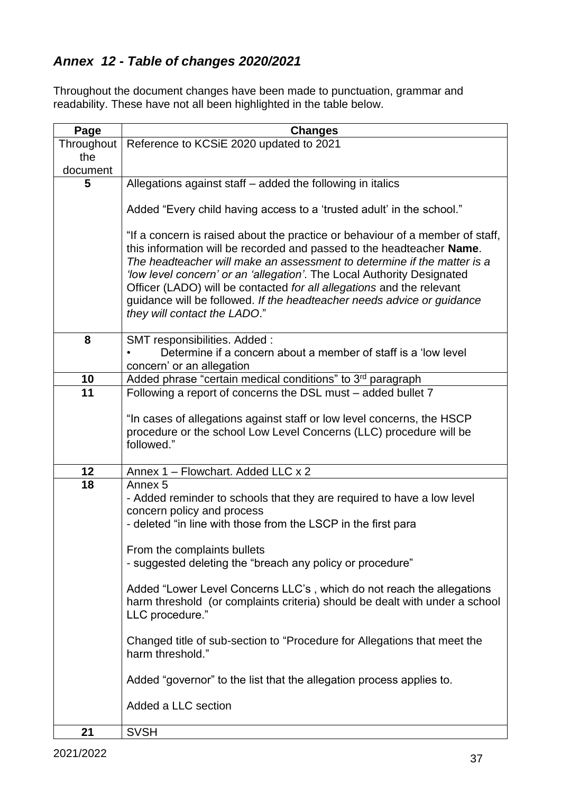# <span id="page-36-0"></span>*Annex 12 - Table of changes 2020/2021*

Throughout the document changes have been made to punctuation, grammar and readability. These have not all been highlighted in the table below.

| Page            | <b>Changes</b>                                                                                                                                                                                                                                                                                                                                                                                                                                                                                 |
|-----------------|------------------------------------------------------------------------------------------------------------------------------------------------------------------------------------------------------------------------------------------------------------------------------------------------------------------------------------------------------------------------------------------------------------------------------------------------------------------------------------------------|
| Throughout      | Reference to KCSiE 2020 updated to 2021                                                                                                                                                                                                                                                                                                                                                                                                                                                        |
| the             |                                                                                                                                                                                                                                                                                                                                                                                                                                                                                                |
| document        |                                                                                                                                                                                                                                                                                                                                                                                                                                                                                                |
| 5               | Allegations against staff – added the following in italics                                                                                                                                                                                                                                                                                                                                                                                                                                     |
|                 | Added "Every child having access to a 'trusted adult' in the school."                                                                                                                                                                                                                                                                                                                                                                                                                          |
|                 | "If a concern is raised about the practice or behaviour of a member of staff,<br>this information will be recorded and passed to the headteacher Name.<br>The headteacher will make an assessment to determine if the matter is a<br>'low level concern' or an 'allegation'. The Local Authority Designated<br>Officer (LADO) will be contacted for all allegations and the relevant<br>guidance will be followed. If the headteacher needs advice or guidance<br>they will contact the LADO." |
| 8               | SMT responsibilities. Added:                                                                                                                                                                                                                                                                                                                                                                                                                                                                   |
|                 | Determine if a concern about a member of staff is a 'low level                                                                                                                                                                                                                                                                                                                                                                                                                                 |
|                 | concern' or an allegation                                                                                                                                                                                                                                                                                                                                                                                                                                                                      |
| 10              | Added phrase "certain medical conditions" to 3 <sup>rd</sup> paragraph                                                                                                                                                                                                                                                                                                                                                                                                                         |
| $\overline{11}$ | Following a report of concerns the DSL must - added bullet 7                                                                                                                                                                                                                                                                                                                                                                                                                                   |
|                 | "In cases of allegations against staff or low level concerns, the HSCP<br>procedure or the school Low Level Concerns (LLC) procedure will be<br>followed."                                                                                                                                                                                                                                                                                                                                     |
| 12              | Annex 1 - Flowchart. Added LLC x 2                                                                                                                                                                                                                                                                                                                                                                                                                                                             |
| 18              | Annex <sub>5</sub><br>- Added reminder to schools that they are required to have a low level<br>concern policy and process<br>- deleted "in line with those from the LSCP in the first para<br>From the complaints bullets<br>- suggested deleting the "breach any policy or procedure"<br>Added "Lower Level Concerns LLC's, which do not reach the allegations<br>harm threshold (or complaints criteria) should be dealt with under a school<br>LLC procedure."                             |
|                 | Changed title of sub-section to "Procedure for Allegations that meet the<br>harm threshold."<br>Added "governor" to the list that the allegation process applies to.                                                                                                                                                                                                                                                                                                                           |
|                 | Added a LLC section                                                                                                                                                                                                                                                                                                                                                                                                                                                                            |
| 21              | <b>SVSH</b>                                                                                                                                                                                                                                                                                                                                                                                                                                                                                    |